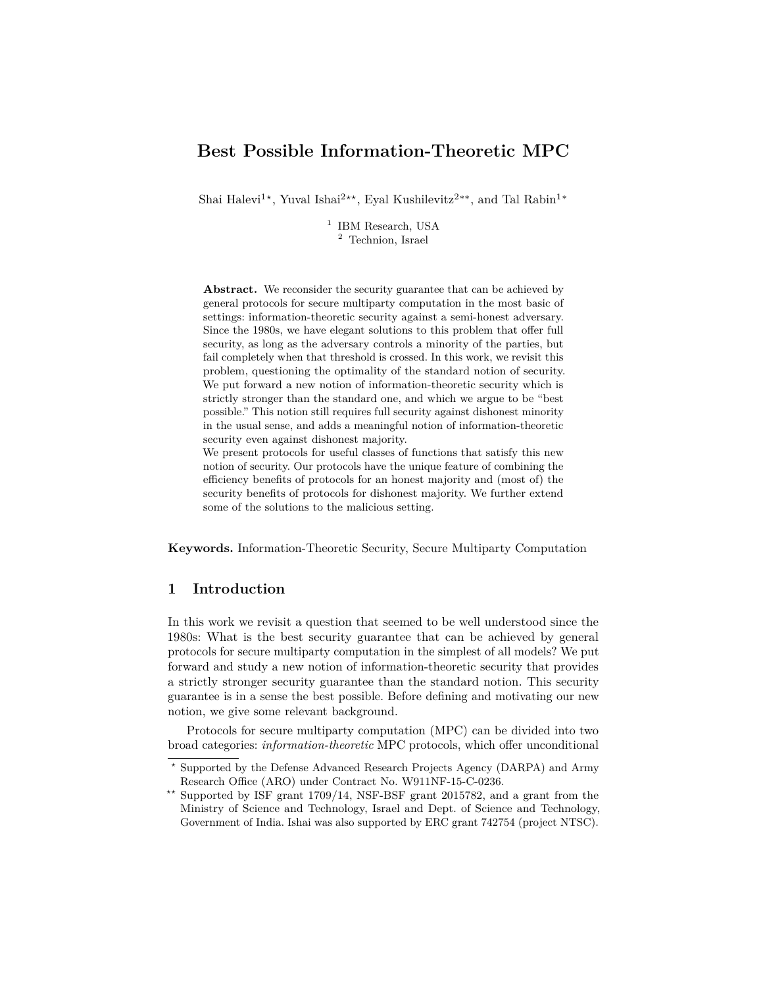# **Best Possible Information-Theoretic MPC**

Shai Halevi<sup>1</sup><sup>\*</sup>, Yuval Ishai<sup>2</sup><sup>\*\*</sup>, Eyal Kushilevitz<sup>2</sup><sup>\*\*</sup>, and Tal Rabin<sup>1</sup><sup>\*</sup>

<sup>1</sup> IBM Research, USA <sup>2</sup> Technion, Israel

**Abstract.** We reconsider the security guarantee that can be achieved by general protocols for secure multiparty computation in the most basic of settings: information-theoretic security against a semi-honest adversary. Since the 1980s, we have elegant solutions to this problem that offer full security, as long as the adversary controls a minority of the parties, but fail completely when that threshold is crossed. In this work, we revisit this problem, questioning the optimality of the standard notion of security. We put forward a new notion of information-theoretic security which is strictly stronger than the standard one, and which we argue to be "best possible." This notion still requires full security against dishonest minority in the usual sense, and adds a meaningful notion of information-theoretic security even against dishonest majority.

We present protocols for useful classes of functions that satisfy this new notion of security. Our protocols have the unique feature of combining the efficiency benefits of protocols for an honest majority and (most of) the security benefits of protocols for dishonest majority. We further extend some of the solutions to the malicious setting.

**Keywords.** Information-Theoretic Security, Secure Multiparty Computation

# **1 Introduction**

In this work we revisit a question that seemed to be well understood since the 1980s: What is the best security guarantee that can be achieved by general protocols for secure multiparty computation in the simplest of all models? We put forward and study a new notion of information-theoretic security that provides a strictly stronger security guarantee than the standard notion. This security guarantee is in a sense the best possible. Before defining and motivating our new notion, we give some relevant background.

Protocols for secure multiparty computation (MPC) can be divided into two broad categories: *information-theoretic* MPC protocols, which offer unconditional

*<sup>?</sup>* Supported by the Defense Advanced Research Projects Agency (DARPA) and Army Research Office (ARO) under Contract No. W911NF-15-C-0236.

*<sup>??</sup>* Supported by ISF grant 1709/14, NSF-BSF grant 2015782, and a grant from the Ministry of Science and Technology, Israel and Dept. of Science and Technology, Government of India. Ishai was also supported by ERC grant 742754 (project NTSC).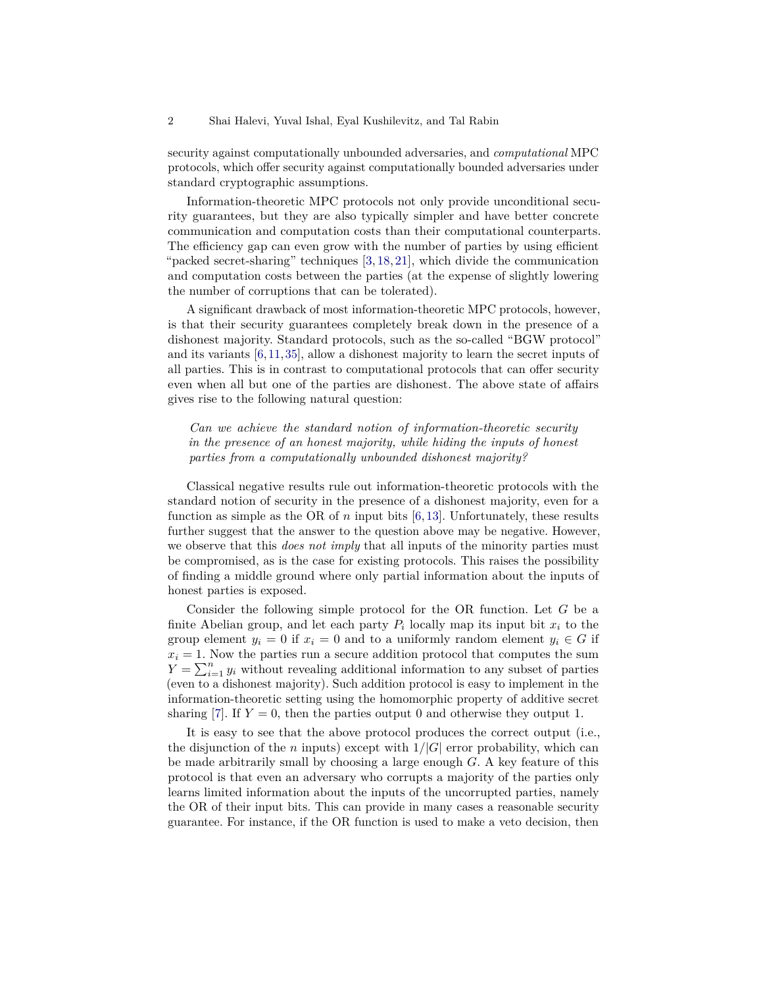<span id="page-1-0"></span>security against computationally unbounded adversaries, and *computational* MPC protocols, which offer security against computationally bounded adversaries under standard cryptographic assumptions.

Information-theoretic MPC protocols not only provide unconditional security guarantees, but they are also typically simpler and have better concrete communication and computation costs than their computational counterparts. The efficiency gap can even grow with the number of parties by using efficient "packed secret-sharing" techniques [\[3,](#page-25-0) [18,](#page-26-0) [21\]](#page-26-1), which divide the communication and computation costs between the parties (at the expense of slightly lowering the number of corruptions that can be tolerated).

A significant drawback of most information-theoretic MPC protocols, however, is that their security guarantees completely break down in the presence of a dishonest majority. Standard protocols, such as the so-called "BGW protocol" and its variants [\[6,](#page-25-1)[11,](#page-25-2)[35\]](#page-27-0), allow a dishonest majority to learn the secret inputs of all parties. This is in contrast to computational protocols that can offer security even when all but one of the parties are dishonest. The above state of affairs gives rise to the following natural question:

*Can we achieve the standard notion of information-theoretic security in the presence of an honest majority, while hiding the inputs of honest parties from a computationally unbounded dishonest majority?*

Classical negative results rule out information-theoretic protocols with the standard notion of security in the presence of a dishonest majority, even for a function as simple as the OR of *n* input bits  $[6, 13]$  $[6, 13]$  $[6, 13]$ . Unfortunately, these results further suggest that the answer to the question above may be negative. However, we observe that this *does not imply* that all inputs of the minority parties must be compromised, as is the case for existing protocols. This raises the possibility of finding a middle ground where only partial information about the inputs of honest parties is exposed.

Consider the following simple protocol for the OR function. Let *G* be a finite Abelian group, and let each party  $P_i$  locally map its input bit  $x_i$  to the group element  $y_i = 0$  if  $x_i = 0$  and to a uniformly random element  $y_i \in G$  if  $x_i = 1$ . Now the parties run a secure addition protocol that computes the sum  $Y = \sum_{i=1}^{n} y_i$  without revealing additional information to any subset of parties (even to a dishonest majority). Such addition protocol is easy to implement in the information-theoretic setting using the homomorphic property of additive secret sharing [\[7\]](#page-25-4). If  $Y = 0$ , then the parties output 0 and otherwise they output 1.

It is easy to see that the above protocol produces the correct output (i.e., the disjunction of the *n* inputs) except with  $1/|G|$  error probability, which can be made arbitrarily small by choosing a large enough *G*. A key feature of this protocol is that even an adversary who corrupts a majority of the parties only learns limited information about the inputs of the uncorrupted parties, namely the OR of their input bits. This can provide in many cases a reasonable security guarantee. For instance, if the OR function is used to make a veto decision, then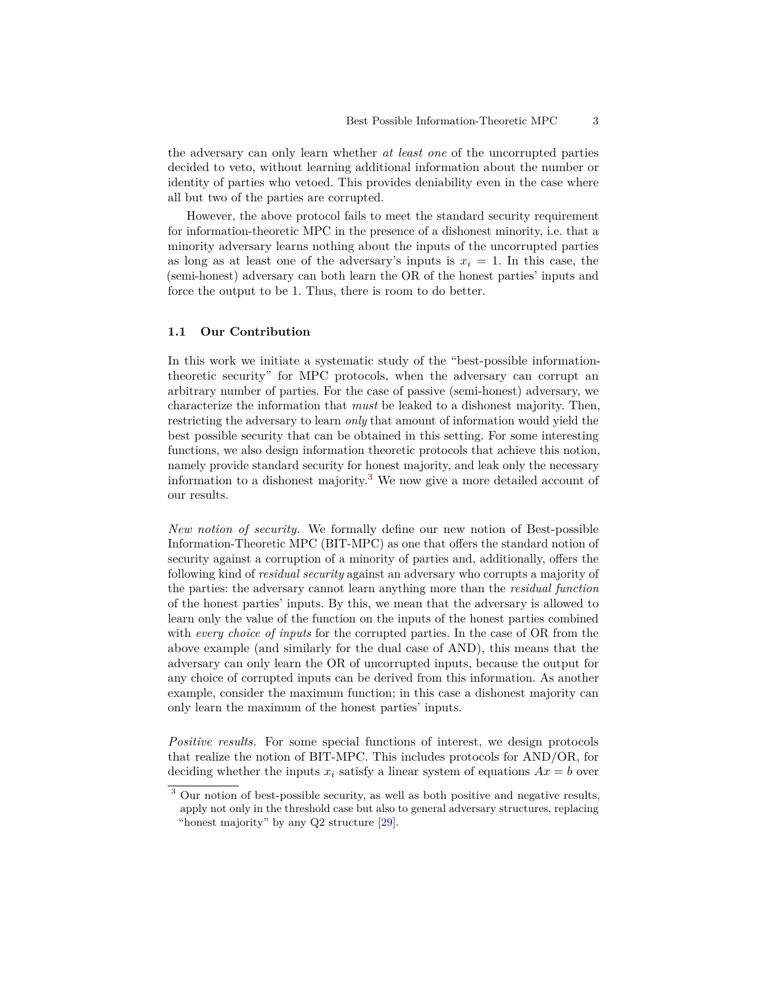<span id="page-2-1"></span>the adversary can only learn whether *at least one* of the uncorrupted parties decided to veto, without learning additional information about the number or identity of parties who vetoed. This provides deniability even in the case where all but two of the parties are corrupted.

However, the above protocol fails to meet the standard security requirement for information-theoretic MPC in the presence of a dishonest minority, i.e. that a minority adversary learns nothing about the inputs of the uncorrupted parties as long as at least one of the adversary's inputs is  $x_i = 1$ . In this case, the (semi-honest) adversary can both learn the OR of the honest parties' inputs and force the output to be 1. Thus, there is room to do better.

#### **1.1 Our Contribution**

In this work we initiate a systematic study of the "best-possible informationtheoretic security" for MPC protocols, when the adversary can corrupt an arbitrary number of parties. For the case of passive (semi-honest) adversary, we characterize the information that *must* be leaked to a dishonest majority. Then, restricting the adversary to learn *only* that amount of information would yield the best possible security that can be obtained in this setting. For some interesting functions, we also design information theoretic protocols that achieve this notion, namely provide standard security for honest majority, and leak only the necessary information to a dishonest majority.[3](#page-2-0) We now give a more detailed account of our results.

*New notion of security.* We formally define our new notion of Best-possible Information-Theoretic MPC (BIT-MPC) as one that offers the standard notion of security against a corruption of a minority of parties and, additionally, offers the following kind of *residual security* against an adversary who corrupts a majority of the parties: the adversary cannot learn anything more than the *residual function* of the honest parties' inputs. By this, we mean that the adversary is allowed to learn only the value of the function on the inputs of the honest parties combined with *every choice of inputs* for the corrupted parties. In the case of OR from the above example (and similarly for the dual case of AND), this means that the adversary can only learn the OR of uncorrupted inputs, because the output for any choice of corrupted inputs can be derived from this information. As another example, consider the maximum function; in this case a dishonest majority can only learn the maximum of the honest parties' inputs.

*Positive results.* For some special functions of interest, we design protocols that realize the notion of BIT-MPC. This includes protocols for AND/OR, for deciding whether the inputs  $x_i$  satisfy a linear system of equations  $Ax = b$  over

<span id="page-2-0"></span><sup>&</sup>lt;sup>3</sup> Our notion of best-possible security, as well as both positive and negative results, apply not only in the threshold case but also to general adversary structures, replacing "honest majority" by any Q2 structure [\[29\]](#page-26-2).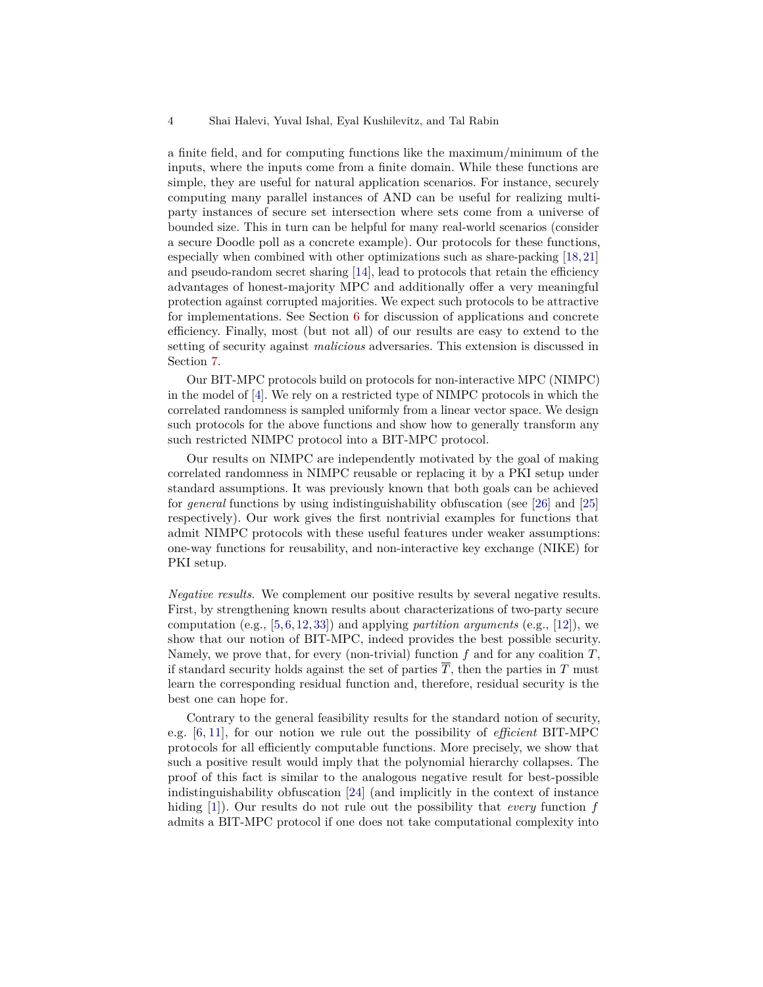<span id="page-3-0"></span>a finite field, and for computing functions like the maximum/minimum of the inputs, where the inputs come from a finite domain. While these functions are simple, they are useful for natural application scenarios. For instance, securely computing many parallel instances of AND can be useful for realizing multiparty instances of secure set intersection where sets come from a universe of bounded size. This in turn can be helpful for many real-world scenarios (consider a secure Doodle poll as a concrete example). Our protocols for these functions, especially when combined with other optimizations such as share-packing [\[18,](#page-26-0)[21\]](#page-26-1) and pseudo-random secret sharing [\[14\]](#page-25-5), lead to protocols that retain the efficiency advantages of honest-majority MPC and additionally offer a very meaningful protection against corrupted majorities. We expect such protocols to be attractive for implementations. See Section [6](#page-19-0) for discussion of applications and concrete efficiency. Finally, most (but not all) of our results are easy to extend to the setting of security against *malicious* adversaries. This extension is discussed in Section [7.](#page-21-0)

Our BIT-MPC protocols build on protocols for non-interactive MPC (NIMPC) in the model of [\[4\]](#page-25-6). We rely on a restricted type of NIMPC protocols in which the correlated randomness is sampled uniformly from a linear vector space. We design such protocols for the above functions and show how to generally transform any such restricted NIMPC protocol into a BIT-MPC protocol.

Our results on NIMPC are independently motivated by the goal of making correlated randomness in NIMPC reusable or replacing it by a PKI setup under standard assumptions. It was previously known that both goals can be achieved for *general* functions by using indistinguishability obfuscation (see [\[26\]](#page-26-3) and [\[25\]](#page-26-4) respectively). Our work gives the first nontrivial examples for functions that admit NIMPC protocols with these useful features under weaker assumptions: one-way functions for reusability, and non-interactive key exchange (NIKE) for PKI setup.

*Negative results.* We complement our positive results by several negative results. First, by strengthening known results about characterizations of two-party secure computation (e.g., [\[5,](#page-25-7) [6,](#page-25-1) [12,](#page-25-8) [33\]](#page-26-5)) and applying *partition arguments* (e.g., [\[12\]](#page-25-8)), we show that our notion of BIT-MPC, indeed provides the best possible security. Namely, we prove that, for every (non-trivial) function *f* and for any coalition *T*, if standard security holds against the set of parties  $\overline{T}$ , then the parties in  $T$  must learn the corresponding residual function and, therefore, residual security is the best one can hope for.

Contrary to the general feasibility results for the standard notion of security, e.g. [\[6,](#page-25-1) [11\]](#page-25-2), for our notion we rule out the possibility of *efficient* BIT-MPC protocols for all efficiently computable functions. More precisely, we show that such a positive result would imply that the polynomial hierarchy collapses. The proof of this fact is similar to the analogous negative result for best-possible indistinguishability obfuscation [\[24\]](#page-26-6) (and implicitly in the context of instance hiding [\[1\]](#page-24-0)). Our results do not rule out the possibility that *every* function f admits a BIT-MPC protocol if one does not take computational complexity into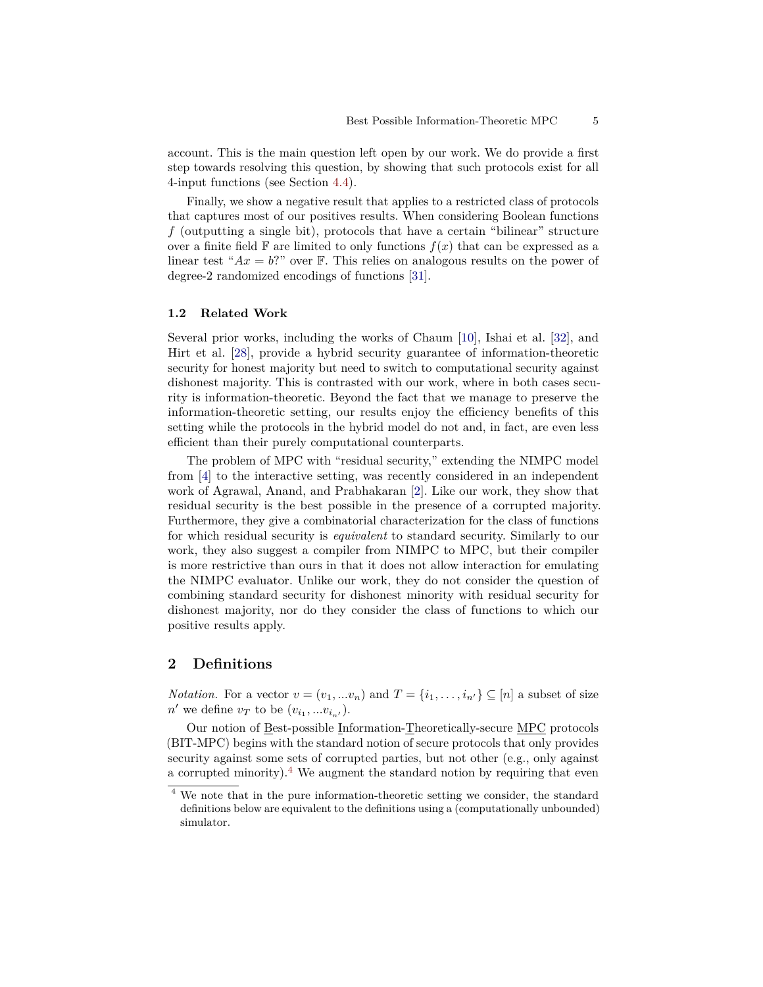<span id="page-4-1"></span>account. This is the main question left open by our work. We do provide a first step towards resolving this question, by showing that such protocols exist for all 4-input functions (see Section [4.4\)](#page-15-0).

Finally, we show a negative result that applies to a restricted class of protocols that captures most of our positives results. When considering Boolean functions *f* (outputting a single bit), protocols that have a certain "bilinear" structure over a finite field  $\mathbb{F}$  are limited to only functions  $f(x)$  that can be expressed as a linear test " $Ax = b$ ?" over F. This relies on analogous results on the power of degree-2 randomized encodings of functions [\[31\]](#page-26-7).

#### **1.2 Related Work**

Several prior works, including the works of Chaum [\[10\]](#page-25-9), Ishai et al. [\[32\]](#page-26-8), and Hirt et al. [\[28\]](#page-26-9), provide a hybrid security guarantee of information-theoretic security for honest majority but need to switch to computational security against dishonest majority. This is contrasted with our work, where in both cases security is information-theoretic. Beyond the fact that we manage to preserve the information-theoretic setting, our results enjoy the efficiency benefits of this setting while the protocols in the hybrid model do not and, in fact, are even less efficient than their purely computational counterparts.

The problem of MPC with "residual security," extending the NIMPC model from [\[4\]](#page-25-6) to the interactive setting, was recently considered in an independent work of Agrawal, Anand, and Prabhakaran [\[2\]](#page-24-1). Like our work, they show that residual security is the best possible in the presence of a corrupted majority. Furthermore, they give a combinatorial characterization for the class of functions for which residual security is *equivalent* to standard security. Similarly to our work, they also suggest a compiler from NIMPC to MPC, but their compiler is more restrictive than ours in that it does not allow interaction for emulating the NIMPC evaluator. Unlike our work, they do not consider the question of combining standard security for dishonest minority with residual security for dishonest majority, nor do they consider the class of functions to which our positive results apply.

# **2 Definitions**

*Notation.* For a vector  $v = (v_1, ... v_n)$  and  $T = \{i_1, ..., i_{n'}\} \subseteq [n]$  a subset of size  $n'$  we define  $v_T$  to be  $(v_{i_1},...v_{i_{n'}})$ .

Our notion of Best-possible Information-Theoretically-secure MPC protocols (BIT-MPC) begins with the standard notion of secure protocols that only provides security against some sets of corrupted parties, but not other (e.g., only against a corrupted minority).<sup>[4](#page-4-0)</sup> We augment the standard notion by requiring that even

<span id="page-4-0"></span><sup>&</sup>lt;sup>4</sup> We note that in the pure information-theoretic setting we consider, the standard definitions below are equivalent to the definitions using a (computationally unbounded) simulator.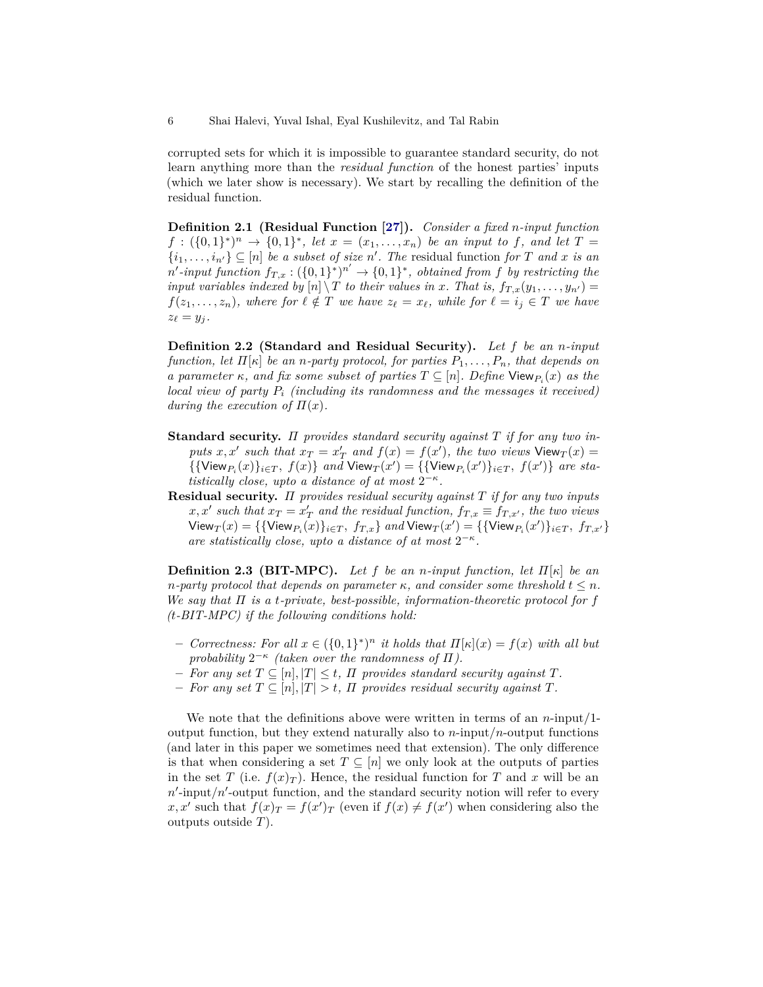<span id="page-5-1"></span>corrupted sets for which it is impossible to guarantee standard security, do not learn anything more than the *residual function* of the honest parties' inputs (which we later show is necessary). We start by recalling the definition of the residual function.

<span id="page-5-0"></span>**Definition 2.1 (Residual Function [\[27\]](#page-26-10)).** *Consider a fixed n-input function*  $f: (\{0,1\}^*)^n \to \{0,1\}^*,$  *let*  $x = (x_1,\ldots,x_n)$  *be an input to*  $f$ *, and let*  $T =$  $\{i_1, \ldots, i_{n'}\} \subseteq [n]$  *be a subset of size*  $n'$ . The residual function *for T and x is an*  $n'$ -input function  $f_{T,x}: (\{0,1\}^*)^{n'} \to \{0,1\}^*$ , obtained from f by restricting the *input variables indexed by*  $[n] \setminus T$  *to their values in x. That is,*  $f_{T,x}(y_1, \ldots, y_{n'}) =$ *f*(*z*<sub>1</sub>*,...,z*<sub>n</sub>)*,* where for  $\ell \notin T$  *we have*  $z_{\ell} = x_{\ell}$ *, while for*  $\ell = i_j \in T$  *we have*  $z_{\ell} = y_j$ .

**Definition 2.2 (Standard and Residual Security).** *Let f be an n-input function, let*  $\Pi[\kappa]$  *be an n-party protocol, for parties*  $P_1, \ldots, P_n$ *, that depends on a parameter*  $\kappa$ *, and fix some subset of parties*  $T \subseteq [n]$ *. Define* View $_{P_i}(x)$  *as the local view of party P<sup>i</sup> (including its randomness and the messages it received) during the execution of*  $\Pi(x)$ *.* 

- **Standard security.** *Π provides standard security against T if for any two inputs*  $x, x'$  such that  $x_T = x'_T$  and  $f(x) = f(x')$ , the two views  $V_i$ iew $T(x) =$  $\{\{\text{View}_{P_i}(x)\}_{i \in T}, f(x)\}\$  *and*  $\text{View}_{T}(x') = \{\{\text{View}_{P_i}(x')\}_{i \in T}, f(x')\}\$  *are statistically close, upto a distance of at most*  $2^{-\kappa}$ *.*
- **Residual security.** *Π provides residual security against T if for any two inputs*  $x, x'$  such that  $x_T = x'_T$  and the residual function,  $f_{T,x} \equiv f_{T,x'}$ , the two views  $\mathsf{View}_T(x) = \{ \{ \mathsf{View}_{P_i}(x) \}_{i \in T}, \ f_{T,x} \} \ and \ \mathsf{View}_T(x') = \{ \{ \mathsf{View}_{P_i}(x') \}_{i \in T}, \ f_{T,x'} \}$ are statistically close, upto a distance of at most  $2^{-\kappa}$ .

**Definition 2.3 (BIT-MPC).** *Let f be an n-input function, let Π*[*κ*] *be an n*-party protocol that depends on parameter  $\kappa$ , and consider some threshold  $t \leq n$ . *We say that Π is a t-private, best-possible, information-theoretic protocol for f (t-BIT-MPC) if the following conditions hold:*

- $\overline{P}$  *Correctness: For all*  $x \in (\{0, 1\}^*)^n$  *it holds that*  $\overline{H}[\kappa](x) = f(x)$  *with all but probability*  $2^{-\kappa}$  *(taken over the randomness of*  $\Pi$ *).*
- $-$  *For any set*  $T \subseteq [n], |T| \le t$ ,  $\Pi$  *provides standard security against*  $T$ *.*
- $-$  *For any set*  $T \subseteq [n], |T| > t$ ,  $\Pi$  *provides residual security against*  $T$ *.*

We note that the definitions above were written in terms of an *n*-input/1 output function, but they extend naturally also to *n*-input/*n*-output functions (and later in this paper we sometimes need that extension). The only difference is that when considering a set  $T \subseteq [n]$  we only look at the outputs of parties in the set *T* (i.e.  $f(x)$ *T*). Hence, the residual function for *T* and *x* will be an  $n'$ -input/ $n'$ -output function, and the standard security notion will refer to every x, x' such that  $f(x)$ <sub>*T*</sub> =  $f(x')$ <sub>*T*</sub> (even if  $f(x) \neq f(x')$  when considering also the outputs outside *T*).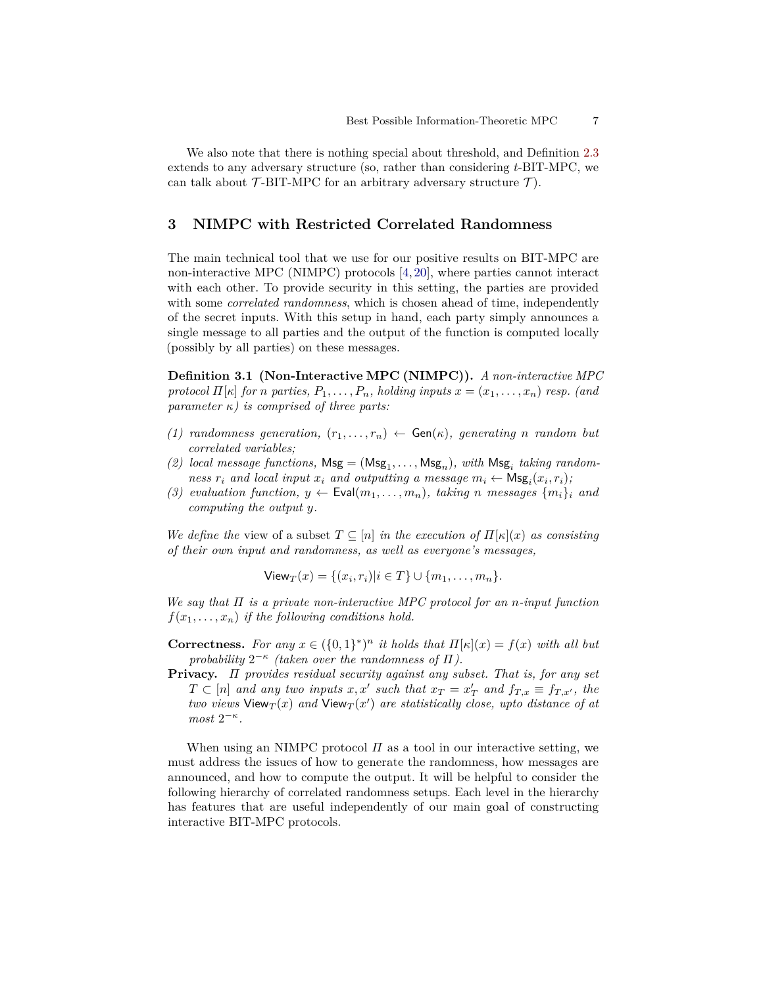<span id="page-6-2"></span>We also note that there is nothing special about threshold, and Definition [2.3](#page-5-0) extends to any adversary structure (so, rather than considering *t*-BIT-MPC, we can talk about  $\mathcal{T}\text{-BIT-MPC}$  for an arbitrary adversary structure  $\mathcal{T}$ ).

## <span id="page-6-1"></span>**3 NIMPC with Restricted Correlated Randomness**

The main technical tool that we use for our positive results on BIT-MPC are non-interactive MPC (NIMPC) protocols [\[4,](#page-25-6) [20\]](#page-26-11), where parties cannot interact with each other. To provide security in this setting, the parties are provided with some *correlated randomness*, which is chosen ahead of time, independently of the secret inputs. With this setup in hand, each party simply announces a single message to all parties and the output of the function is computed locally (possibly by all parties) on these messages.

<span id="page-6-0"></span>**Definition 3.1 (Non-Interactive MPC (NIMPC)).** *A non-interactive MPC protocol*  $\Pi[\kappa]$  *for n parties*,  $P_1, \ldots, P_n$ *, holding inputs*  $x = (x_1, \ldots, x_n)$  *resp. (and parameter κ) is comprised of three parts:*

- *(1) randomness generation,*  $(r_1, \ldots, r_n) \leftarrow$  **Gen** $(\kappa)$ *, generating n random but correlated variables;*
- (2) *local message functions,*  $Msg = (Msg_1, \ldots, Msg_n)$ *, with*  $Msg_i$  *taking randomness*  $r_i$  *and local input*  $x_i$  *and outputting a message*  $m_i \leftarrow \textsf{Msg}_i(x_i, r_i)$ ;
- *(3) evaluation function,*  $y \leftarrow \text{Eval}(m_1, \ldots, m_n)$ , *taking n messages*  $\{m_i\}_i$  *and computing the output y.*

*We define the* view of a subset  $T \subseteq [n]$  *in the execution of*  $\Pi[\kappa](x)$  *as consisting of their own input and randomness, as well as everyone's messages,*

$$
View_T(x) = \{(x_i, r_i)| i \in T\} \cup \{m_1, \ldots, m_n\}.
$$

*We say that Π is a private non-interactive MPC protocol for an n-input function*  $f(x_1, \ldots, x_n)$  *if the following conditions hold.* 

**Correctness.** For any  $x \in (\{0,1\}^*)^n$  *it holds that*  $\Pi[\kappa](x) = f(x)$  *with all but probability*  $2^{-\kappa}$  *(taken over the randomness of*  $\Pi$ *).* 

**Privacy.** *Π provides residual security against any subset. That is, for any set*  $T \subset [n]$  and any two inputs  $x, x'$  such that  $x_T = x'_T$  and  $f_{T,x} \equiv f_{T,x'}$ , the *two views*  $View_T(x)$  *and*  $View_T(x')$  *are statistically close, upto distance of at*  $most 2^{-\kappa}$ .

When using an NIMPC protocol  $\Pi$  as a tool in our interactive setting, we must address the issues of how to generate the randomness, how messages are announced, and how to compute the output. It will be helpful to consider the following hierarchy of correlated randomness setups. Each level in the hierarchy has features that are useful independently of our main goal of constructing interactive BIT-MPC protocols.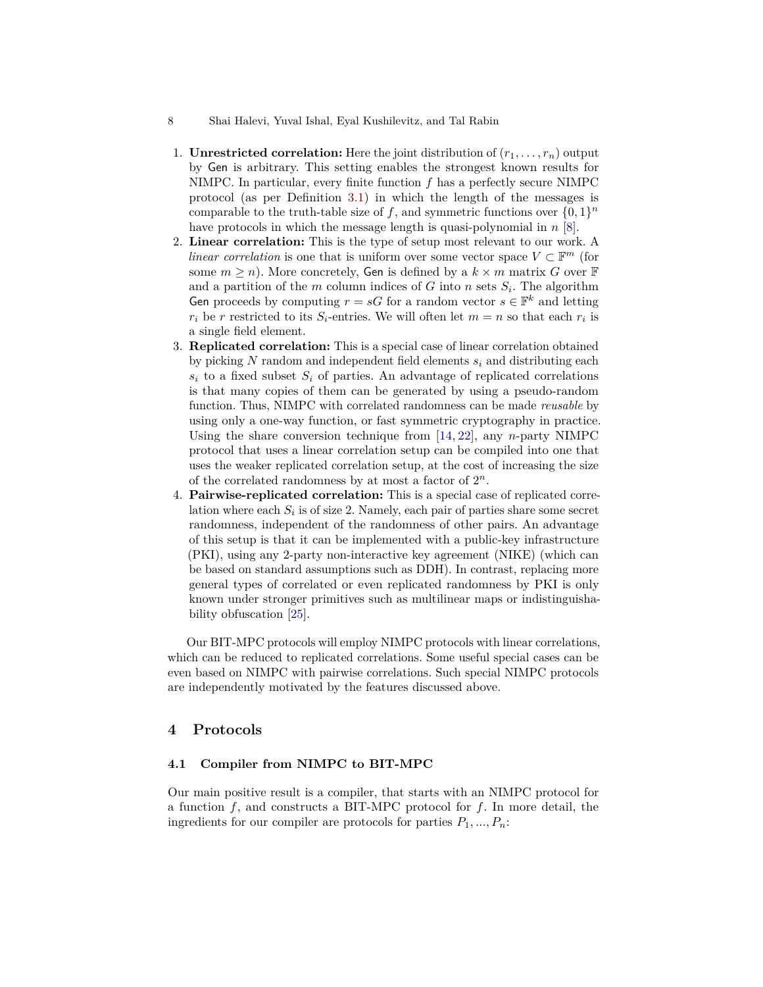- <span id="page-7-1"></span>8 Shai Halevi, Yuval Ishal, Eyal Kushilevitz, and Tal Rabin
- 1. **Unrestricted correlation:** Here the joint distribution of  $(r_1, \ldots, r_n)$  output by Gen is arbitrary. This setting enables the strongest known results for NIMPC. In particular, every finite function *f* has a perfectly secure NIMPC protocol (as per Definition [3.1\)](#page-6-0) in which the length of the messages is comparable to the truth-table size of  $f$ , and symmetric functions over  $\{0,1\}^n$ have protocols in which the message length is quasi-polynomial in *n* [\[8\]](#page-25-10).
- 2. **Linear correlation:** This is the type of setup most relevant to our work. A *linear correlation* is one that is uniform over some vector space  $V \subset \mathbb{F}^m$  (for some  $m \geq n$ ). More concretely, Gen is defined by a  $k \times m$  matrix G over F and a partition of the *m* column indices of *G* into *n* sets *S<sup>i</sup>* . The algorithm Gen proceeds by computing  $r = sG$  for a random vector  $s \in \mathbb{F}^k$  and letting  $r_i$  be *r* restricted to its  $S_i$ -entries. We will often let  $m = n$  so that each  $r_i$  is a single field element.
- 3. **Replicated correlation:** This is a special case of linear correlation obtained by picking *N* random and independent field elements *s<sup>i</sup>* and distributing each  $s_i$  to a fixed subset  $S_i$  of parties. An advantage of replicated correlations is that many copies of them can be generated by using a pseudo-random function. Thus, NIMPC with correlated randomness can be made *reusable* by using only a one-way function, or fast symmetric cryptography in practice. Using the share conversion technique from [\[14,](#page-25-5) [22\]](#page-26-12), any *n*-party NIMPC protocol that uses a linear correlation setup can be compiled into one that uses the weaker replicated correlation setup, at the cost of increasing the size of the correlated randomness by at most a factor of 2 *n*.
- 4. **Pairwise-replicated correlation:** This is a special case of replicated correlation where each  $S_i$  is of size 2. Namely, each pair of parties share some secret randomness, independent of the randomness of other pairs. An advantage of this setup is that it can be implemented with a public-key infrastructure (PKI), using any 2-party non-interactive key agreement (NIKE) (which can be based on standard assumptions such as DDH). In contrast, replacing more general types of correlated or even replicated randomness by PKI is only known under stronger primitives such as multilinear maps or indistinguishability obfuscation [\[25\]](#page-26-4).

Our BIT-MPC protocols will employ NIMPC protocols with linear correlations, which can be reduced to replicated correlations. Some useful special cases can be even based on NIMPC with pairwise correlations. Such special NIMPC protocols are independently motivated by the features discussed above.

### <span id="page-7-0"></span>**4 Protocols**

### **4.1 Compiler from NIMPC to BIT-MPC**

Our main positive result is a compiler, that starts with an NIMPC protocol for a function *f*, and constructs a BIT-MPC protocol for *f*. In more detail, the ingredients for our compiler are protocols for parties  $P_1, ..., P_n$ :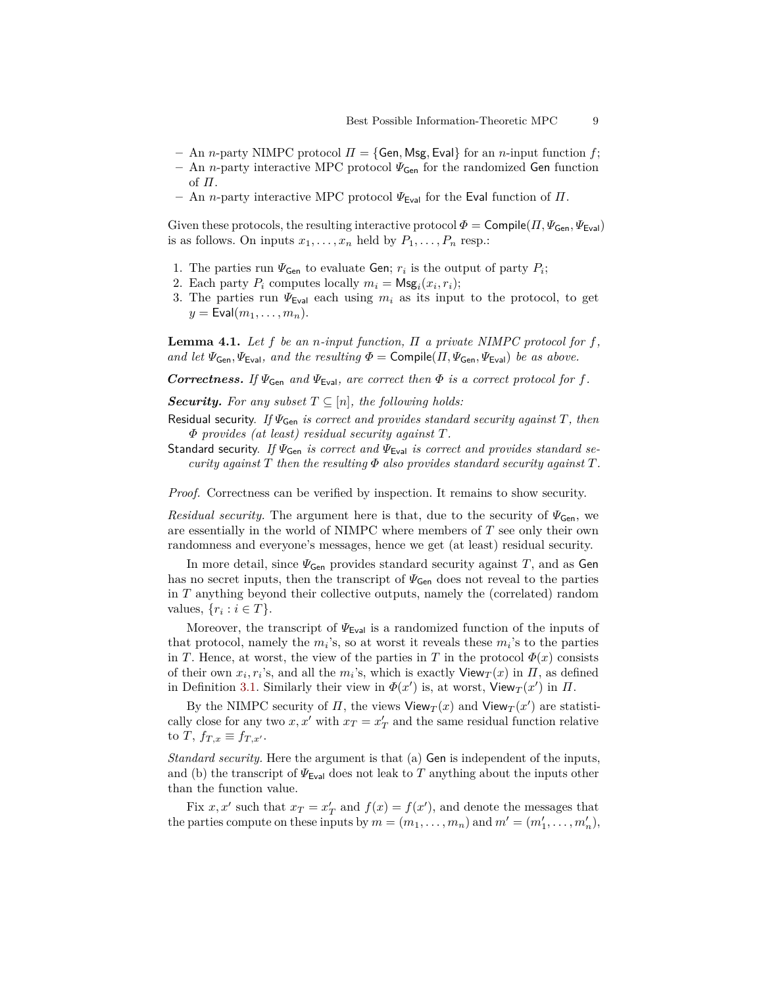- **–** An *n*-party NIMPC protocol *Π* = {Gen*,* Msg*,* Eval} for an *n*-input function *f*;
- **–** An *n*-party interactive MPC protocol *Ψ*Gen for the randomized Gen function of *Π*.
- **–** An *n*-party interactive MPC protocol *Ψ*Eval for the Eval function of *Π*.

Given these protocols, the resulting interactive protocol  $\Phi = \text{Compile}(H, \Psi_{\text{Gen}}, \Psi_{\text{Eval}})$ is as follows. On inputs  $x_1, \ldots, x_n$  held by  $P_1, \ldots, P_n$  resp.:

- 1. The parties run  $\Psi_{Gen}$  to evaluate Gen;  $r_i$  is the output of party  $P_i$ ;
- 2. Each party  $P_i$  computes locally  $m_i = \mathsf{Msg}_i(x_i, r_i);$
- 3. The parties run  $\Psi_{\text{Eval}}$  each using  $m_i$  as its input to the protocol, to get  $y = \text{Eval}(m_1, \ldots, m_n).$

<span id="page-8-0"></span>**Lemma 4.1.** *Let f be an n-input function, Π a private NIMPC protocol for f, and let*  $\Psi_{Gen}$ ,  $\Psi_{Eval}$ *, and the resulting*  $\Phi =$  Compile( $\Pi$ ,  $\Psi_{Gen}$ ,  $\Psi_{Eval}$ ) *be as above.* 

*Correctness. If*  $\Psi_{Gen}$  *and*  $\Psi_{Eval}$ *, are correct then*  $\Phi$  *is a correct protocol for*  $f$ *.* 

*Security.* For any subset  $T \subseteq [n]$ , the following holds:

- Residual security. *If Ψ*Gen *is correct and provides standard security against T, then Φ provides (at least) residual security against T.*
- Standard security. *If Ψ*Gen *is correct and Ψ*Eval *is correct and provides standard security against*  $T$  *then the resulting*  $\Phi$  *also provides standard security against*  $T$ *.*

*Proof.* Correctness can be verified by inspection. It remains to show security.

*Residual security.* The argument here is that, due to the security of  $\Psi_{Gen}$ , we are essentially in the world of NIMPC where members of *T* see only their own randomness and everyone's messages, hence we get (at least) residual security.

In more detail, since  $\Psi_{Gen}$  provides standard security against *T*, and as Gen has no secret inputs, then the transcript of  $\Psi_{Gen}$  does not reveal to the parties in *T* anything beyond their collective outputs, namely the (correlated) random values,  $\{r_i : i \in T\}.$ 

Moreover, the transcript of  $\Psi_{\text{Eval}}$  is a randomized function of the inputs of that protocol, namely the  $m_i$ 's, so at worst it reveals these  $m_i$ 's to the parties in *T*. Hence, at worst, the view of the parties in *T* in the protocol  $\Phi(x)$  consists of their own  $x_i, r_i$ 's, and all the  $m_i$ 's, which is exactly  $\mathsf{View}_T(x)$  in  $\Pi$ , as defined in Definition [3.1.](#page-6-0) Similarly their view in  $\Phi(x')$  is, at worst,  $\mathsf{View}_T(x')$  in  $\Pi$ .

By the NIMPC security of  $\Pi$ , the views  $\mathsf{View}_T(x)$  and  $\mathsf{View}_T(x')$  are statistically close for any two  $x, x'$  with  $x_T = x'_T$  and the same residual function relative to *T*,  $f_{T,x} \equiv f_{T,x'}$ .

*Standard security.* Here the argument is that (a) Gen is independent of the inputs, and (b) the transcript of  $\Psi_{\text{Eval}}$  does not leak to *T* anything about the inputs other than the function value.

Fix  $x, x'$  such that  $x_T = x'_T$  and  $f(x) = f(x')$ , and denote the messages that the parties compute on these inputs by  $m = (m_1, \ldots, m_n)$  and  $m' = (m'_1, \ldots, m'_n)$ ,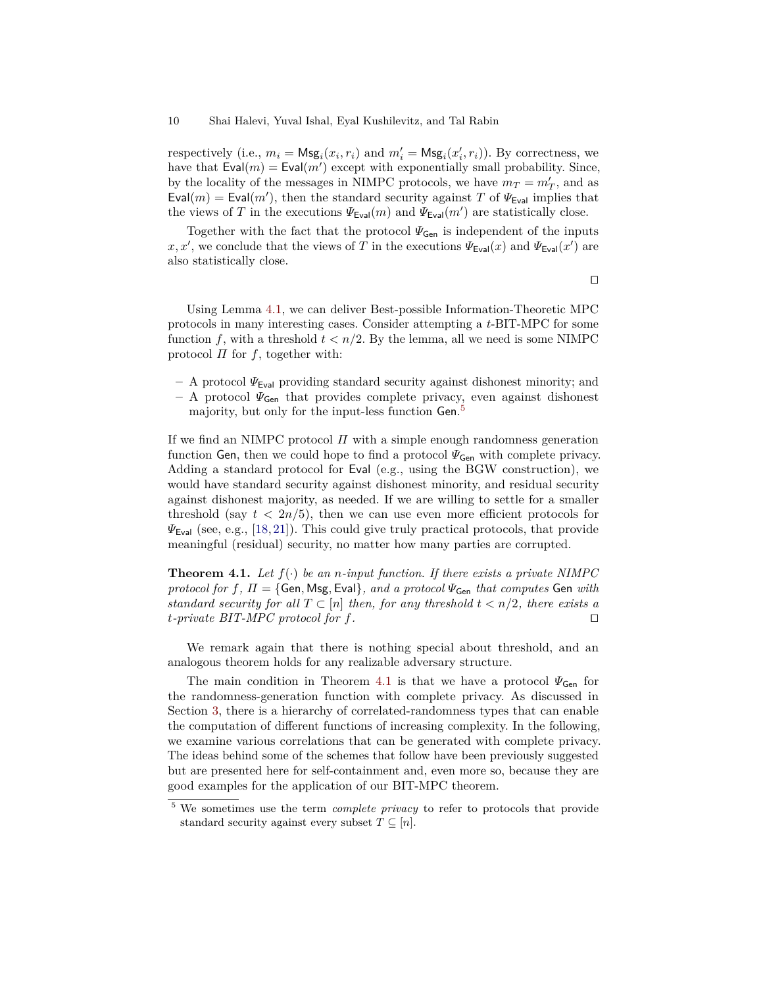<span id="page-9-2"></span>respectively (i.e.,  $m_i = \mathsf{Msg}_i(x_i, r_i)$  and  $m'_i = \mathsf{Msg}_i(x'_i, r_i)$ ). By correctness, we have that  $Eval(m) = eval(m')$  except with exponentially small probability. Since, by the locality of the messages in NIMPC protocols, we have  $m_T = m'_T$ , and as Eval $(m)$  = Eval $(m')$ , then the standard security against *T* of  $\Psi_{\text{Eval}}$  implies that the views of *T* in the executions  $\Psi_{\text{Eval}}(m)$  and  $\Psi_{\text{Eval}}(m')$  are statistically close.

Together with the fact that the protocol  $\Psi_{Gen}$  is independent of the inputs  $x, x'$ , we conclude that the views of *T* in the executions  $\Psi_{\text{Eval}}(x)$  and  $\Psi_{\text{Eval}}(x')$  are also statistically close.

 $\Box$ 

Using Lemma [4.1,](#page-8-0) we can deliver Best-possible Information-Theoretic MPC protocols in many interesting cases. Consider attempting a *t*-BIT-MPC for some function f, with a threshold  $t < n/2$ . By the lemma, all we need is some NIMPC protocol *Π* for *f*, together with:

- **–** A protocol *Ψ*Eval providing standard security against dishonest minority; and
- **–** A protocol *Ψ*Gen that provides complete privacy, even against dishonest majority, but only for the input-less function Gen. [5](#page-9-0)

If we find an NIMPC protocol *Π* with a simple enough randomness generation function Gen, then we could hope to find a protocol  $\Psi_{Gen}$  with complete privacy. Adding a standard protocol for Eval (e.g., using the BGW construction), we would have standard security against dishonest minority, and residual security against dishonest majority, as needed. If we are willing to settle for a smaller threshold (say  $t < 2n/5$ ), then we can use even more efficient protocols for *Ψ*<sub>Eval</sub> (see, e.g., [\[18,](#page-26-0) [21\]](#page-26-1)). This could give truly practical protocols, that provide meaningful (residual) security, no matter how many parties are corrupted.

<span id="page-9-1"></span>**Theorem 4.1.** Let  $f(\cdot)$  be an *n*-input function. If there exists a private NIMPC *protocol for f, Π* = {Gen*,* Msg*,* Eval}*, and a protocol Ψ*Gen *that computes* Gen *with standard security for all*  $T \subset [n]$  *then, for any threshold*  $t < n/2$ *, there exists a t*<sup>*-private BIT-MPC protocol for <i>f.* □</sup>

We remark again that there is nothing special about threshold, and an analogous theorem holds for any realizable adversary structure.

The main condition in Theorem [4.1](#page-9-1) is that we have a protocol  $\Psi_{\text{Gen}}$  for the randomness-generation function with complete privacy. As discussed in Section [3,](#page-6-1) there is a hierarchy of correlated-randomness types that can enable the computation of different functions of increasing complexity. In the following, we examine various correlations that can be generated with complete privacy. The ideas behind some of the schemes that follow have been previously suggested but are presented here for self-containment and, even more so, because they are good examples for the application of our BIT-MPC theorem.

<span id="page-9-0"></span><sup>5</sup> We sometimes use the term *complete privacy* to refer to protocols that provide standard security against every subset  $T \subseteq [n]$ .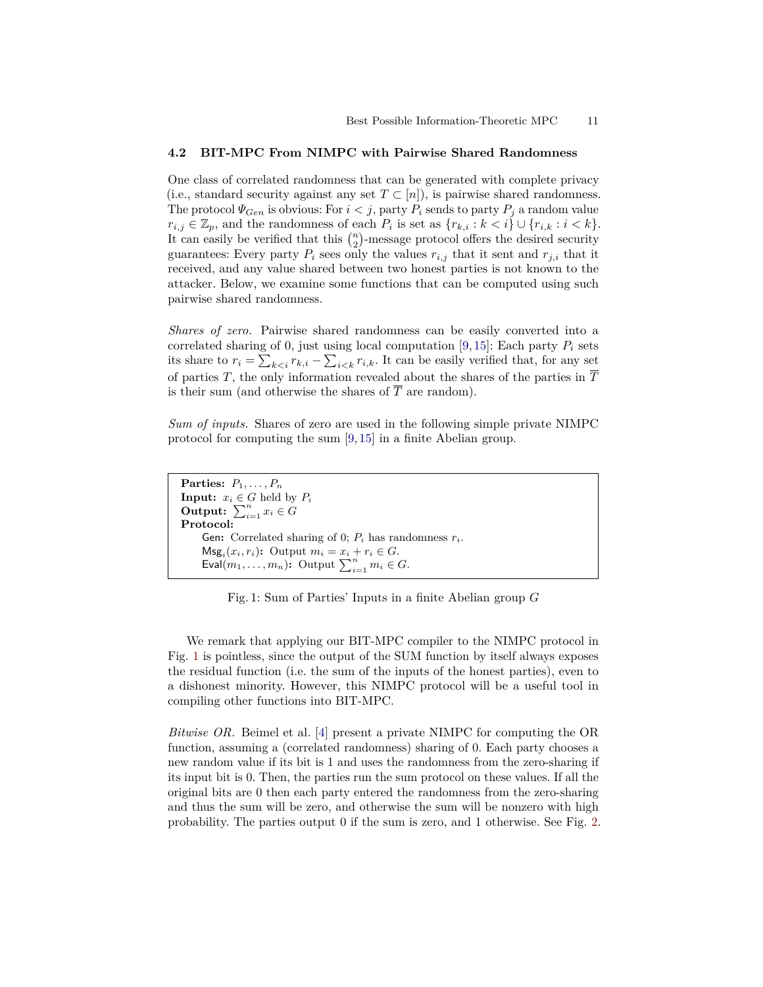# <span id="page-10-1"></span>**4.2 BIT-MPC From NIMPC with Pairwise Shared Randomness**

One class of correlated randomness that can be generated with complete privacy (i.e., standard security against any set  $T \subset [n]$ ), is pairwise shared randomness. The protocol  $\Psi_{Gen}$  is obvious: For  $i < j$ , party  $P_i$  sends to party  $P_j$  a random value  $r_{i,j} \in \mathbb{Z}_p$ , and the randomness of each  $P_i$  is set as  $\{r_{k,i}: k < i\} \cup \{r_{i,k}: i < k\}.$ It can easily be verified that this  $\binom{n}{2}$ -message protocol offers the desired security guarantees: Every party  $P_i$  sees only the values  $r_{i,j}$  that it sent and  $r_{j,i}$  that it received, and any value shared between two honest parties is not known to the attacker. Below, we examine some functions that can be computed using such pairwise shared randomness.

*Shares of zero.* Pairwise shared randomness can be easily converted into a correlated sharing of 0, just using local computation  $[9, 15]$  $[9, 15]$  $[9, 15]$ : Each party  $P_i$  sets its share to  $r_i = \sum_{k \leq i} r_{k,i} - \sum_{i \leq k} r_{i,k}$ . It can be easily verified that, for any set of parties *T*, the only information revealed about the shares of the parties in  $\overline{T}$ is their sum (and otherwise the shares of  $\overline{T}$  are random).

*Sum of inputs.* Shares of zero are used in the following simple private NIMPC protocol for computing the sum [\[9,](#page-25-11) [15\]](#page-25-12) in a finite Abelian group.

<span id="page-10-0"></span>**Parties:**  $P_1, \ldots, P_n$ **Input:**  $x_i \in G$  held by  $P_i$ **Output:**  $\sum_{i=1}^{n} x_i \in G$ **Protocol:** Gen: Correlated sharing of 0;  $P_i$  has randomness  $r_i$ .  $\textsf{Msg}_i(x_i, r_i)$ : Output  $m_i = x_i + r_i \in G$ . Eval $(m_1, \ldots, m_n)$ : Output  $\sum_{i=1}^n m_i \in G$ .

Fig. 1: Sum of Parties' Inputs in a finite Abelian group *G*

We remark that applying our BIT-MPC compiler to the NIMPC protocol in Fig. [1](#page-10-0) is pointless, since the output of the SUM function by itself always exposes the residual function (i.e. the sum of the inputs of the honest parties), even to a dishonest minority. However, this NIMPC protocol will be a useful tool in compiling other functions into BIT-MPC.

*Bitwise OR.* Beimel et al. [\[4\]](#page-25-6) present a private NIMPC for computing the OR function, assuming a (correlated randomness) sharing of 0. Each party chooses a new random value if its bit is 1 and uses the randomness from the zero-sharing if its input bit is 0. Then, the parties run the sum protocol on these values. If all the original bits are 0 then each party entered the randomness from the zero-sharing and thus the sum will be zero, and otherwise the sum will be nonzero with high probability. The parties output 0 if the sum is zero, and 1 otherwise. See Fig. [2.](#page-11-0)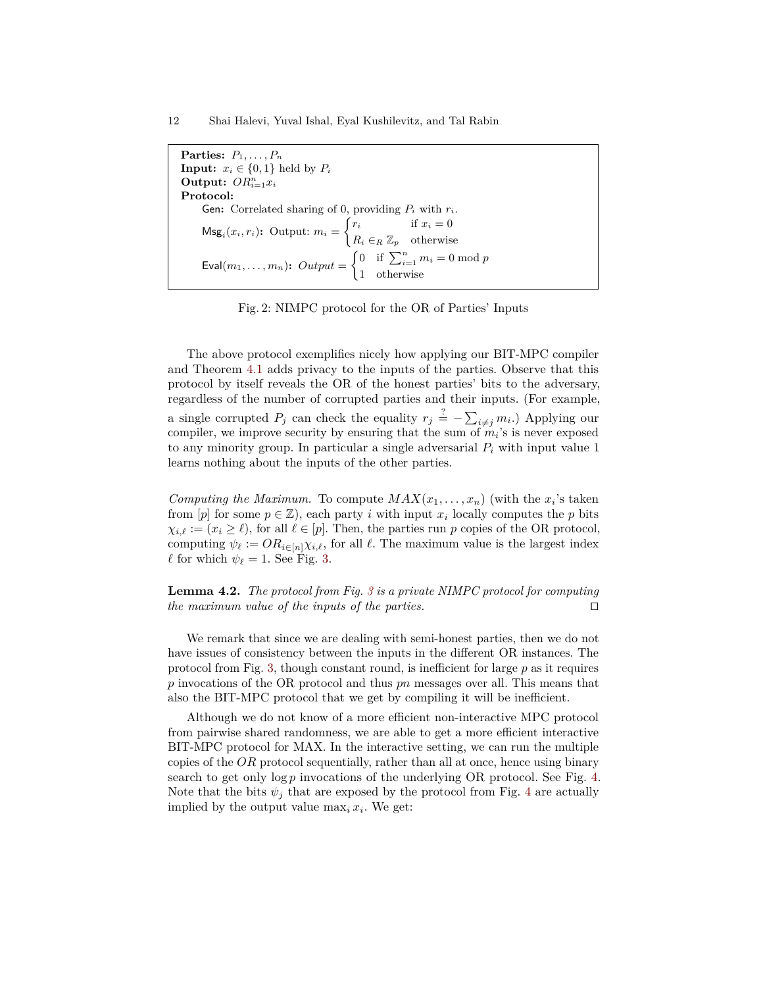```
Parties: P_1, \ldots, P_nInput: x_i \in \{0, 1\} held by P_iOutput: OR_{i=1}^n x_iProtocol:
 Gen: Correlated sharing of 0, providing Pi with ri.
 \mathsf{Msg}_i(x_i, r_i): Output: m_i = \begin{cases} r_i & \text{if } x_i = 0 \\ p_i & \text{otherwise} \end{cases}R_i \in_R \mathbb{Z}_p otherwise
 \textsf{Eval}(m_1, \ldots, m_n): Output = \begin{cases} 0 & \text{if } \sum_{i=1}^n m_i = 0 \text{ mod } p \end{cases}1 otherwise
```
Fig. 2: NIMPC protocol for the OR of Parties' Inputs

The above protocol exemplifies nicely how applying our BIT-MPC compiler and Theorem [4.1](#page-9-1) adds privacy to the inputs of the parties. Observe that this protocol by itself reveals the OR of the honest parties' bits to the adversary, regardless of the number of corrupted parties and their inputs. (For example, a single corrupted  $P_j$  can check the equality  $r_j \stackrel{?}{=} -\sum_{i \neq j} m_i$ . Applying our compiler, we improve security by ensuring that the sum of  $m_i$ 's is never exposed to any minority group. In particular a single adversarial  $P_i$  with input value 1 learns nothing about the inputs of the other parties.

*Computing the Maximum.* To compute  $MAX(x_1, \ldots, x_n)$  (with the  $x_i$ 's taken from  $[p]$  for some  $p \in \mathbb{Z}$ ), each party *i* with input  $x_i$  locally computes the *p* bits  $\chi_{i,\ell} := (x_i \geq \ell)$ , for all  $\ell \in [p]$ . Then, the parties run *p* copies of the OR protocol, computing  $\psi_{\ell} := OR_{i \in [n]} \chi_{i,\ell}$ , for all  $\ell$ . The maximum value is the largest index  $\ell$  for which  $\psi_{\ell} = 1$ . See Fig. [3.](#page-12-0)

## **Lemma 4.2.** *The protocol from Fig. [3](#page-12-0) is a private NIMPC protocol for computing the maximum value of the inputs of the parties.*  $\square$

We remark that since we are dealing with semi-honest parties, then we do not have issues of consistency between the inputs in the different OR instances. The protocol from Fig. [3,](#page-12-0) though constant round, is inefficient for large *p* as it requires *p* invocations of the OR protocol and thus *pn* messages over all. This means that also the BIT-MPC protocol that we get by compiling it will be inefficient.

Although we do not know of a more efficient non-interactive MPC protocol from pairwise shared randomness, we are able to get a more efficient interactive BIT-MPC protocol for MAX. In the interactive setting, we can run the multiple copies of the *OR* protocol sequentially, rather than all at once, hence using binary search to get only  $\log p$  invocations of the underlying OR protocol. See Fig. [4.](#page-12-1) Note that the bits  $\psi_j$  that are exposed by the protocol from Fig. [4](#page-12-1) are actually implied by the output value  $\max_i x_i$ . We get: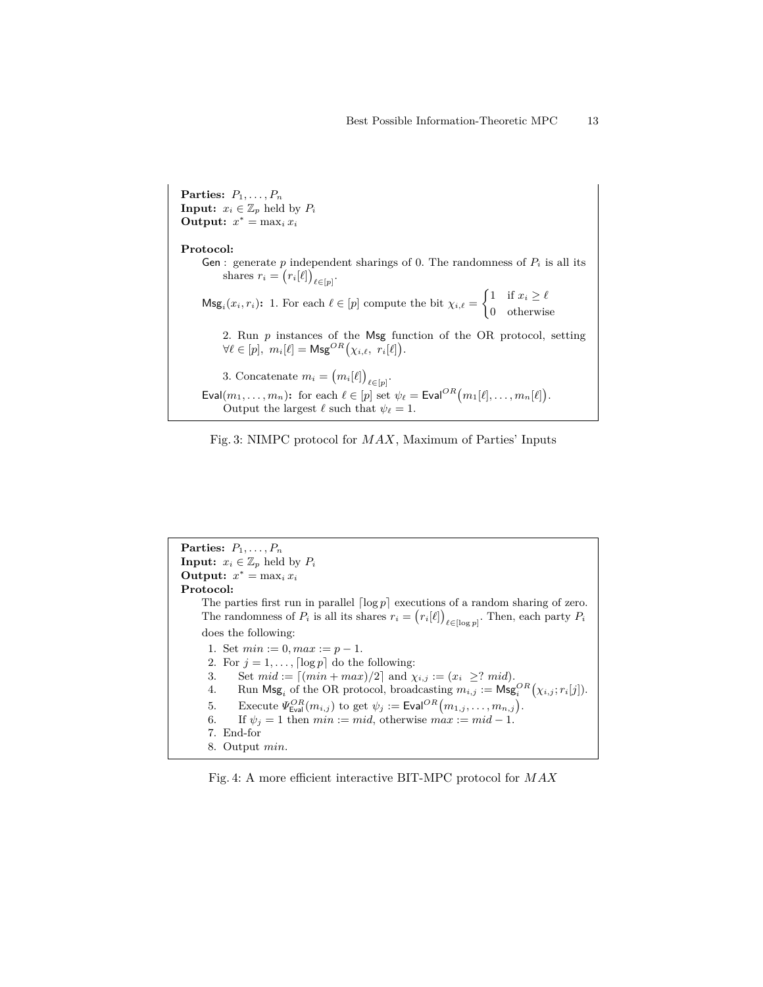<span id="page-12-0"></span>**Parties:**  $P_1, \ldots, P_n$ **Input:**  $x_i \in \mathbb{Z}_p$  held by  $P_i$ **Output:**  $x^* = \max_i x_i$ **Protocol:** Gen : generate  $p$  independent sharings of 0. The randomness of  $P_i$  is all its shares  $r_i = (r_i[\ell])_{\ell \in [p]}$ .  $\mathsf{Msg}_i(x_i, r_i)$ : 1. For each  $\ell \in [p]$  compute the bit  $\chi_{i,\ell} = \begin{cases} 1 & \text{if } x_i \geq \ell \\ 0 & \text{otherwise} \end{cases}$ 0 otherwise 2. Run *p* instances of the Msg function of the OR protocol, setting  $\forall \ell \in [p], m_i[\ell] = \mathsf{Msg}^{OR}(\chi_{i,\ell}, r_i[\ell]).$ 3. Concatenate  $m_i = (m_i[\ell])_{\ell \in [p]}$ . Eval $(m_1, \ldots, m_n)$ : for each  $\ell \in [p]$  set  $\psi_{\ell} = \text{Eval}^{OR}(m_1[\ell], \ldots, m_n[\ell]).$ Output the largest  $\ell$  such that  $\psi_{\ell} = 1$ .



```
Parties: P_1, \ldots, P_nInput: x_i \in \mathbb{Z}_p held by P_iOutput: x^* = \max_i x_iProtocol:
The parties first run in parallel \lceil \log p \rceil executions of a random sharing of zero.
The randomness of P_i is all its shares r_i = (r_i[\ell])_{\ell \in [\log p]}. Then, each party P_idoes the following:
 1. Set min := 0, max := p - 1.
 2. For j = 1, \ldots, \lceil \log p \rceil do the following:
 3. Set mid := [(min + max)/2] and \chi_{i,j} := (x_i \geq ? \text{ mid}).4. Run \textsf{Msg}_i of the OR protocol, broadcasting m_{i,j} := \textsf{Msg}_i^{OR}(\chi_{i,j}; r_i[j]).
  5. Execute \Psi_{\text{Eval}}^{OR}(m_{i,j}) to get \psi_j := \text{Eval}^{OR}(m_{1,j}, \ldots, m_{n,j}).6. If \psi_j = 1 then min := mid, otherwise max := mid - 1.
 7. End-for
 8. Output min.
```
Fig. 4: A more efficient interactive BIT-MPC protocol for *MAX*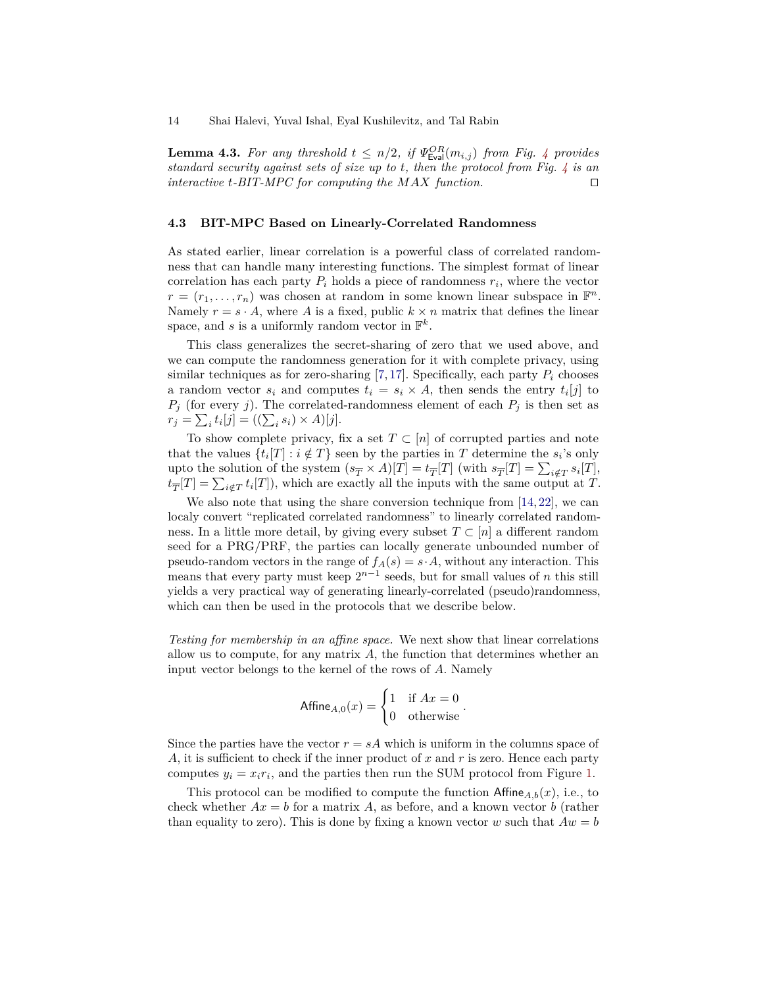<span id="page-13-0"></span>**Lemma [4](#page-12-1).3.** For any threshold  $t \leq n/2$ , if  $\Psi_{\text{Eval}}^{OR}(m_{i,j})$  from Fig. 4 provides *standard security against sets of size up to t, then the protocol from Fig. [4](#page-12-1) is an*  $\Box$ *interactive t*-*BIT-MPC* for computing the *MAX* function.

#### **4.3 BIT-MPC Based on Linearly-Correlated Randomness**

As stated earlier, linear correlation is a powerful class of correlated randomness that can handle many interesting functions. The simplest format of linear correlation has each party  $P_i$  holds a piece of randomness  $r_i$ , where the vector  $r = (r_1, \ldots, r_n)$  was chosen at random in some known linear subspace in  $\mathbb{F}^n$ . Namely  $r = s \cdot A$ , where *A* is a fixed, public  $k \times n$  matrix that defines the linear space, and *s* is a uniformly random vector in  $\mathbb{F}^k$ .

This class generalizes the secret-sharing of zero that we used above, and we can compute the randomness generation for it with complete privacy, using similar techniques as for zero-sharing [\[7,](#page-25-4) [17\]](#page-25-13). Specifically, each party  $P_i$  chooses a random vector  $s_i$  and computes  $t_i = s_i \times A$ , then sends the entry  $t_i[j]$  to  $P_j$  (for every *j*). The correlated-randomness element of each  $P_j$  is then set as  $r_j = \sum_i t_i[j] = ((\sum_i s_i) \times A)[j].$ 

To show complete privacy, fix a set  $T \subset [n]$  of corrupted parties and note that the values  $\{t_i[T]: i \notin T\}$  seen by the parties in *T* determine the  $s_i$ 's only upto the solution of the system  $(s_{\overline{T}} \times A)[T] = t_{\overline{T}}[T]$  (with  $s_{\overline{T}}[T] = \sum_{i \notin T} s_i[T]$ ,  $t_{\overline{T}}[T] = \sum_{i \notin T} t_i[T]$ ), which are exactly all the inputs with the same output at *T*.

We also note that using the share conversion technique from [\[14,](#page-25-5) [22\]](#page-26-12), we can localy convert "replicated correlated randomness" to linearly correlated randomness. In a little more detail, by giving every subset  $T \subset [n]$  a different random seed for a PRG/PRF, the parties can locally generate unbounded number of pseudo-random vectors in the range of  $f_A(s) = s \cdot A$ , without any interaction. This means that every party must keep  $2^{n-1}$  seeds, but for small values of *n* this still yields a very practical way of generating linearly-correlated (pseudo)randomness, which can then be used in the protocols that we describe below.

*Testing for membership in an affine space.* We next show that linear correlations allow us to compute, for any matrix *A*, the function that determines whether an input vector belongs to the kernel of the rows of *A*. Namely

$$
\text{Affine}_{A,0}(x) = \begin{cases} 1 & \text{if } Ax = 0 \\ 0 & \text{otherwise} \end{cases}.
$$

Since the parties have the vector  $r = sA$  which is uniform in the columns space of *A*, it is sufficient to check if the inner product of *x* and *r* is zero. Hence each party computes  $y_i = x_i r_i$ , and the parties then run the SUM protocol from Figure [1.](#page-10-0)

This protocol can be modified to compute the function  $Affine_{A,b}(x)$ , i.e., to check whether  $Ax = b$  for a matrix A, as before, and a known vector b (rather than equality to zero). This is done by fixing a known vector *w* such that  $Aw = b$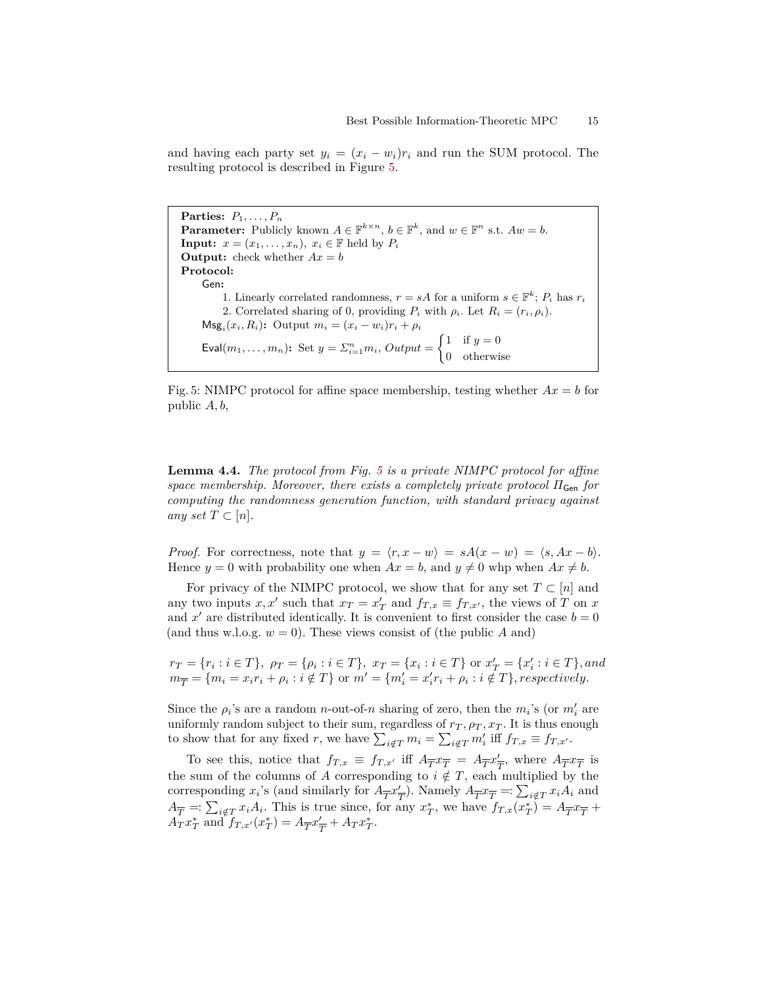and having each party set  $y_i = (x_i - w_i)r_i$  and run the SUM protocol. The resulting protocol is described in Figure [5.](#page-14-0)

<span id="page-14-0"></span>**Parties:**  $P_1, \ldots, P_n$ **Parameter:** Publicly known  $A \in \mathbb{F}^{k \times n}$ ,  $b \in \mathbb{F}^k$ , and  $w \in \mathbb{F}^n$  s.t.  $Aw = b$ . **Input:**  $x = (x_1, \ldots, x_n), x_i \in \mathbb{F}$  held by  $P_i$ **Output:** check whether  $Ax = b$ **Protocol:** Gen**:** 1. Linearly correlated randomness,  $r = sA$  for a uniform  $s \in \mathbb{F}^k$ ;  $P_i$  has  $r_i$ 2. Correlated sharing of 0, providing  $P_i$  with  $\rho_i$ . Let  $R_i = (r_i, \rho_i)$ .  $\textsf{Msg}_{i}(x_i, R_i)$ : Output  $m_i = (x_i - w_i)r_i + \rho_i$ Eval $(m_1, \ldots, m_n)$ : Set  $y = \sum_{i=1}^n m_i$ ,  $Output = \begin{cases} 1 & \text{if } y = 0 \\ 0 & \text{otherwise} \end{cases}$ 0 otherwise

Fig. 5: NIMPC protocol for affine space membership, testing whether  $Ax = b$  for public *A, b*,

**Lemma 4.4.** *The protocol from Fig. [5](#page-14-0) is a private NIMPC protocol for affine space membership. Moreover, there exists a completely private protocol*  $\Pi_{Gen}$  *for computing the randomness generation function, with standard privacy against any set*  $T \subset [n]$ *.* 

*Proof.* For correctness, note that  $y = \langle r, x - w \rangle = sA(x - w) = \langle s, Ax - b \rangle$ . Hence  $y = 0$  with probability one when  $Ax = b$ , and  $y \neq 0$  whp when  $Ax \neq b$ .

For privacy of the NIMPC protocol, we show that for any set  $T \subset [n]$  and any two inputs  $x, x'$  such that  $x_T = x'_T$  and  $f_{T,x} \equiv f_{T,x'}$ , the views of *T* on *x* and  $x'$  are distributed identically. It is convenient to first consider the case  $b = 0$ (and thus w.l.o.g.  $w = 0$ ). These views consist of (the public *A* and)

 $r_T = \{r_i : i \in T\},\ \rho_T = \{\rho_i : i \in T\},\ x_T = \{x_i : i \in T\} \text{ or } x'_T = \{x'_i : i \in T\}, and$  $m_{\overline{T}} = \{m_i = x_i r_i + \rho_i : i \notin T\}$  or  $m' = \{m'_i = x'_i r_i + \rho_i : i \notin T\}$ , respectively.

Since the  $\rho_i$ 's are a random *n*-out-of-*n* sharing of zero, then the  $m_i$ 's (or  $m_i'$  are uniformly random subject to their sum, regardless of  $r_T$ ,  $\rho_T$ ,  $x_T$ . It is thus enough to show that for any fixed *r*, we have  $\sum_{i \notin T} m_i = \sum_{i \notin T} m'_i$  iff  $f_{T,x} \equiv f_{T,x'}$ .

To see this, notice that  $f_{T,x} \equiv f_{T,x'}$  iff  $A_{\overline{T}} x_{\overline{T}} = A_{\overline{T}} x'_{\overline{T}}$ , where  $A_{\overline{T}} x_{\overline{T}}$  is the sum of the columns of *A* corresponding to  $i \notin T$ , each multiplied by the corresponding  $x_i$ 's (and similarly for  $A_{\overline{T}}x_i'$  $\frac{Z}{T}$ ). Namely  $A_{\overline{T}} x_{\overline{T}} =: \sum_{i \notin T} x_i A_i$  and  $A_{\overline{T}} =: \sum_{i \notin T} x_i A_i$ . This is true since, for any  $x_T^*$ , we have  $f_{T,x}(x_T^*) = A_{\overline{T}} x_{\overline{T}} +$  $A_T^T x_T^*$  and  $f_{T,x'}(x_T^*) = A_{\overline{T}} x_T^*$  $\frac{\prime}{T} + A_T x_T^*$ .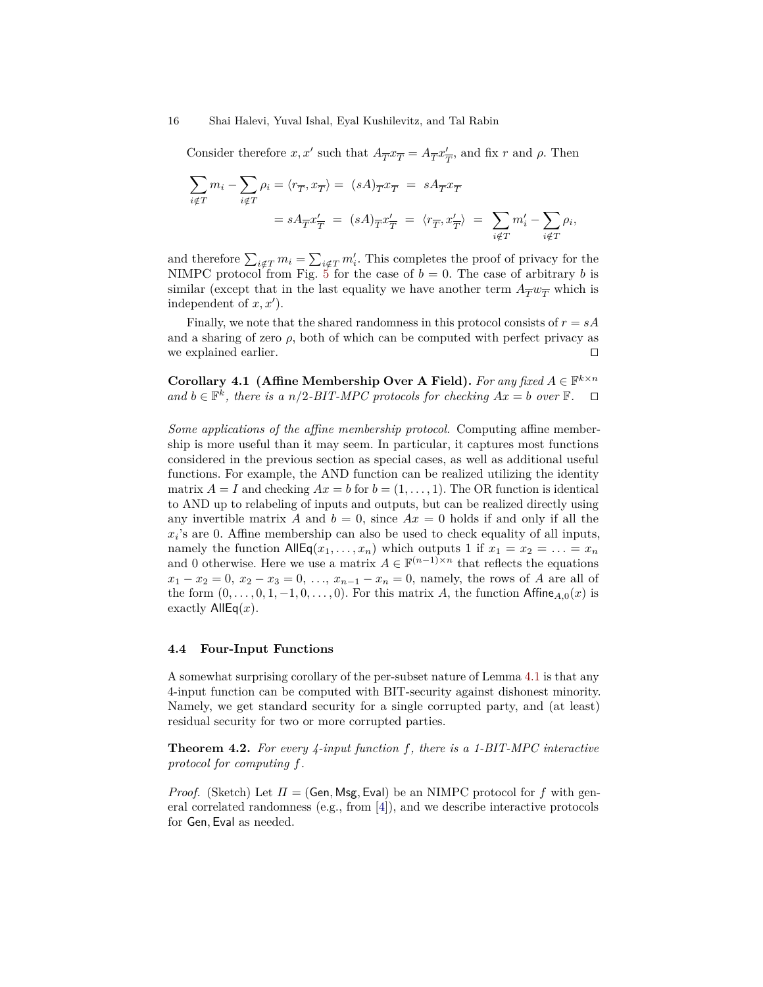<span id="page-15-1"></span>Consider therefore  $x, x'$  such that  $A_{\overline{T}} x_{\overline{T}} = A_{\overline{T}} x'_{\overline{T}}$  $\frac{r}{T}$ , and fix *r* and *ρ*. Then

$$
\sum_{i \notin T} m_i - \sum_{i \notin T} \rho_i = \langle r_{\overline{T}}, x_{\overline{T}} \rangle = (sA)_{\overline{T}} x_{\overline{T}} = sA_{\overline{T}} x_{\overline{T}}
$$
  

$$
= sA_{\overline{T}} x'_{\overline{T}} = (sA)_{\overline{T}} x'_{\overline{T}} = \langle r_{\overline{T}}, x'_{\overline{T}} \rangle = \sum_{i \notin T} m'_i - \sum_{i \notin T} \rho_i,
$$

and therefore  $\sum_{i \notin T} m_i = \sum_{i \notin T} m'_i$ . This completes the proof of privacy for the NIMPC protocol from Fig. [5](#page-14-0) for the case of  $b = 0$ . The case of arbitrary *b* is similar (except that in the last equality we have another term  $A_{\overline{T}}w_{\overline{T}}$  which is independent of  $x, x'$ ).

Finally, we note that the shared randomness in this protocol consists of  $r = sA$ and a sharing of zero  $\rho$ , both of which can be computed with perfect privacy as we explained earlier.  $\Box$ 

**Corollary 4.1** (Affine Membership Over A Field). For any fixed  $A \in \mathbb{F}^{k \times n}$ *and*  $b \in \mathbb{F}^k$ , there is a *n*/2*-BIT-MPC* protocols for checking  $Ax = b$  over **F**. □

*Some applications of the affine membership protocol.* Computing affine membership is more useful than it may seem. In particular, it captures most functions considered in the previous section as special cases, as well as additional useful functions. For example, the AND function can be realized utilizing the identity matrix  $A = I$  and checking  $Ax = b$  for  $b = (1, \ldots, 1)$ . The OR function is identical to AND up to relabeling of inputs and outputs, but can be realized directly using any invertible matrix A and  $b = 0$ , since  $Ax = 0$  holds if and only if all the  $x_i$ 's are 0. Affine membership can also be used to check equality of all inputs, namely the function  $\text{AllEq}(x_1, \ldots, x_n)$  which outputs 1 if  $x_1 = x_2 = \ldots = x_n$ and 0 otherwise. Here we use a matrix  $A \in \mathbb{F}^{(n-1)\times n}$  that reflects the equations  $x_1 - x_2 = 0, x_2 - x_3 = 0, \ldots, x_{n-1} - x_n = 0$ , namely, the rows of *A* are all of the form  $(0, \ldots, 0, 1, -1, 0, \ldots, 0)$ . For this matrix *A*, the function Affine<sub>*A*,0</sub>(*x*) is exactly AllEq(*x*).

#### <span id="page-15-0"></span>**4.4 Four-Input Functions**

A somewhat surprising corollary of the per-subset nature of Lemma [4.1](#page-8-0) is that any 4-input function can be computed with BIT-security against dishonest minority. Namely, we get standard security for a single corrupted party, and (at least) residual security for two or more corrupted parties.

**Theorem 4.2.** *For every 4-input function f, there is a 1-BIT-MPC interactive protocol for computing f.*

*Proof.* (Sketch) Let  $\Pi =$  (Gen, Msg, Eval) be an NIMPC protocol for f with general correlated randomness (e.g., from [\[4\]](#page-25-6)), and we describe interactive protocols for Gen*,* Eval as needed.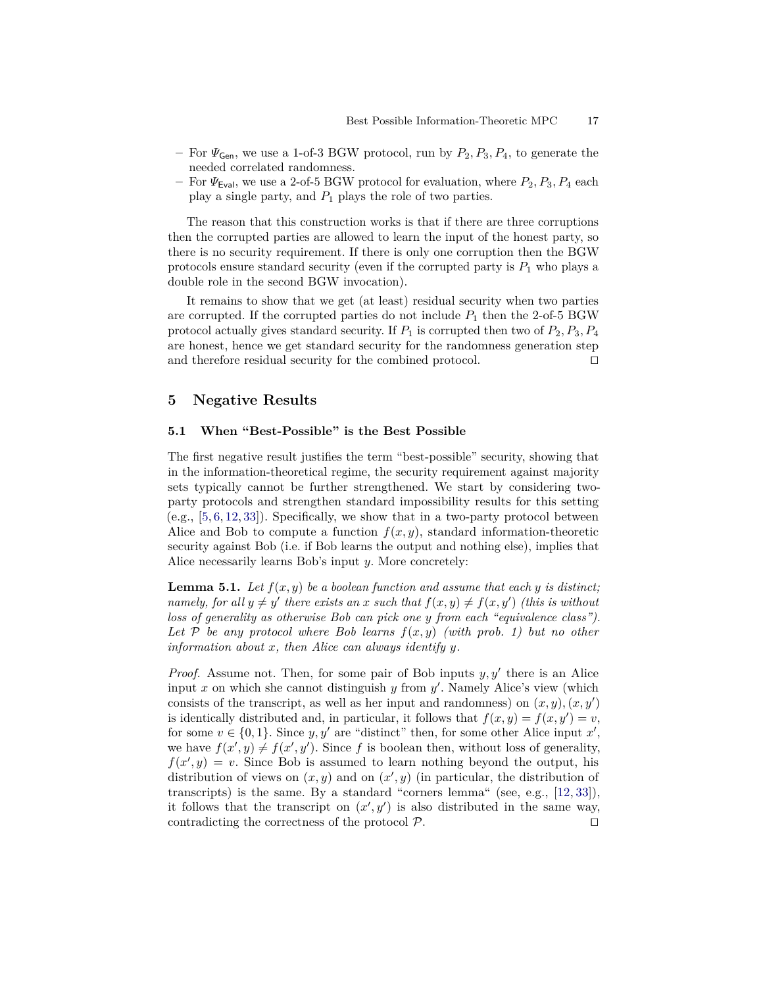- <span id="page-16-1"></span>**–** For *Ψ*Gen, we use a 1-of-3 BGW protocol, run by *P*2*, P*3*, P*4, to generate the needed correlated randomness.
- **–** For *Ψ*Eval, we use a 2-of-5 BGW protocol for evaluation, where *P*2*, P*3*, P*<sup>4</sup> each play a single party, and *P*<sup>1</sup> plays the role of two parties.

The reason that this construction works is that if there are three corruptions then the corrupted parties are allowed to learn the input of the honest party, so there is no security requirement. If there is only one corruption then the BGW protocols ensure standard security (even if the corrupted party is  $P_1$  who plays a double role in the second BGW invocation).

It remains to show that we get (at least) residual security when two parties are corrupted. If the corrupted parties do not include  $P_1$  then the 2-of-5 BGW protocol actually gives standard security. If  $P_1$  is corrupted then two of  $P_2, P_3, P_4$ are honest, hence we get standard security for the randomness generation step and therefore residual security for the combined protocol.  $\Box$ 

## **5 Negative Results**

#### **5.1 When "Best-Possible" is the Best Possible**

The first negative result justifies the term "best-possible" security, showing that in the information-theoretical regime, the security requirement against majority sets typically cannot be further strengthened. We start by considering twoparty protocols and strengthen standard impossibility results for this setting  $(e.g., [5, 6, 12, 33])$  $(e.g., [5, 6, 12, 33])$  $(e.g., [5, 6, 12, 33])$  $(e.g., [5, 6, 12, 33])$  $(e.g., [5, 6, 12, 33])$  $(e.g., [5, 6, 12, 33])$  $(e.g., [5, 6, 12, 33])$  $(e.g., [5, 6, 12, 33])$  $(e.g., [5, 6, 12, 33])$ . Specifically, we show that in a two-party protocol between Alice and Bob to compute a function  $f(x, y)$ , standard information-theoretic security against Bob (i.e. if Bob learns the output and nothing else), implies that Alice necessarily learns Bob's input *y*. More concretely:

<span id="page-16-0"></span>**Lemma 5.1.** Let  $f(x, y)$  be a boolean function and assume that each y is distinct; *namely, for all*  $y \neq y'$  *there exists an*  $x$  *such that*  $f(x, y) \neq f(x, y')$  *(this is without*) *loss of generality as otherwise Bob can pick one y from each "equivalence class").* Let  $P$  be any protocol where Bob learns  $f(x, y)$  (with prob. 1) but no other *information about x, then Alice can always identify y.*

*Proof.* Assume not. Then, for some pair of Bob inputs  $y, y'$  there is an Alice input  $x$  on which she cannot distinguish  $y$  from  $y'$ . Namely Alice's view (which consists of the transcript, as well as her input and randomness) on  $(x, y)$ ,  $(x, y')$ is identically distributed and, in particular, it follows that  $f(x, y) = f(x, y') = v$ , for some  $v \in \{0, 1\}$ . Since  $y, y'$  are "distinct" then, for some other Alice input  $x'$ , we have  $f(x', y) \neq f(x', y')$ . Since f is boolean then, without loss of generality,  $f(x', y) = v$ . Since Bob is assumed to learn nothing beyond the output, his distribution of views on  $(x, y)$  and on  $(x', y)$  (in particular, the distribution of transcripts) is the same. By a standard "corners lemma" (see, e.g.,  $[12, 33]$  $[12, 33]$  $[12, 33]$ ), it follows that the transcript on  $(x', y')$  is also distributed in the same way, contradicting the correctness of the protocol  $P$ .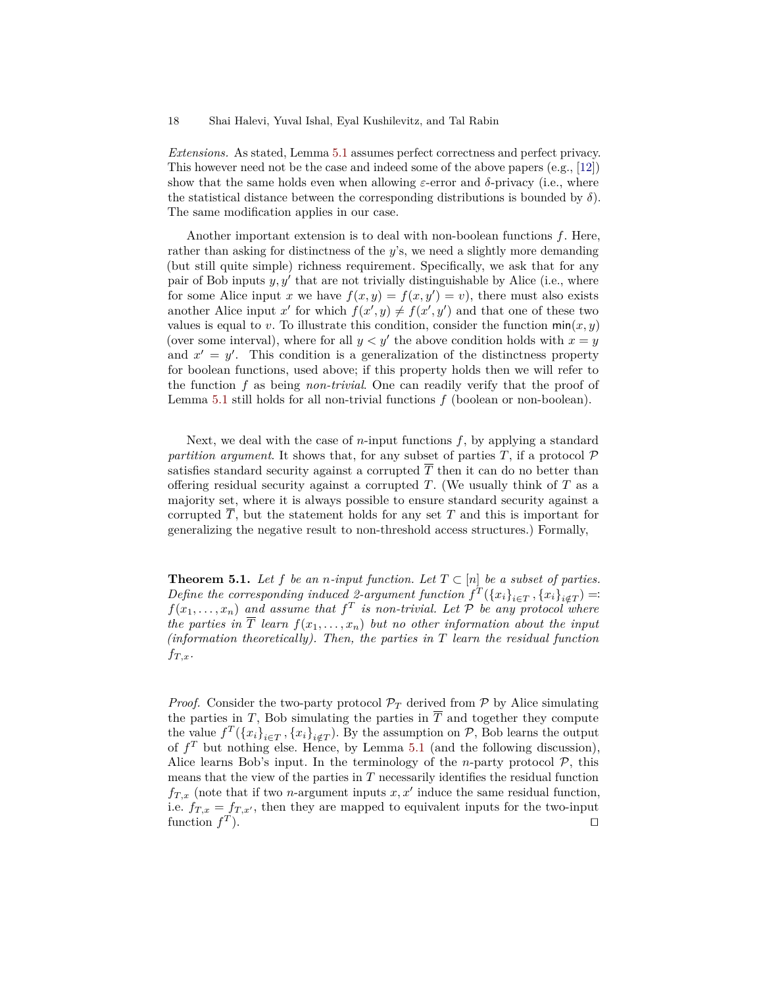<span id="page-17-0"></span>*Extensions.* As stated, Lemma [5.1](#page-16-0) assumes perfect correctness and perfect privacy. This however need not be the case and indeed some of the above papers  $(e.g., [12])$  $(e.g., [12])$  $(e.g., [12])$ show that the same holds even when allowing  $\varepsilon$ -error and  $\delta$ -privacy (i.e., where the statistical distance between the corresponding distributions is bounded by  $\delta$ ). The same modification applies in our case.

Another important extension is to deal with non-boolean functions *f*. Here, rather than asking for distinctness of the *y*'s, we need a slightly more demanding (but still quite simple) richness requirement. Specifically, we ask that for any pair of Bob inputs  $y, y'$  that are not trivially distinguishable by Alice (i.e., where for some Alice input *x* we have  $f(x, y) = f(x, y') = v$ , there must also exists another Alice input *x'* for which  $f(x', y) \neq f(x', y')$  and that one of these two values is equal to *v*. To illustrate this condition, consider the function  $min(x, y)$ (over some interval), where for all  $y < y'$  the above condition holds with  $x = y$ and  $x' = y'$ . This condition is a generalization of the distinctness property for boolean functions, used above; if this property holds then we will refer to the function *f* as being *non-trivial*. One can readily verify that the proof of Lemma [5.1](#page-16-0) still holds for all non-trivial functions *f* (boolean or non-boolean).

Next, we deal with the case of *n*-input functions *f*, by applying a standard *partition argument*. It shows that, for any subset of parties  $T$ , if a protocol  $\mathcal{P}$ satisfies standard security against a corrupted *T* then it can do no better than offering residual security against a corrupted *T*. (We usually think of *T* as a majority set, where it is always possible to ensure standard security against a corrupted  $\overline{T}$ , but the statement holds for any set  $T$  and this is important for generalizing the negative result to non-threshold access structures.) Formally,

**Theorem 5.1.** Let  $f$  be an  $n$ -input function. Let  $T \subset [n]$  be a subset of parties. *Define the corresponding induced 2-argument function*  $f^T(\lbrace x_i \rbrace_{i \in T}, \lbrace x_i \rbrace_{i \notin T}) =:$  $f(x_1, \ldots, x_n)$  and assume that  $f^T$  is non-trivial. Let  $P$  be any protocol where *the parties in*  $\overline{T}$  *learn*  $f(x_1, \ldots, x_n)$  *but no other information about the input (information theoretically). Then, the parties in T learn the residual function*  $f_{T,x}$ .

*Proof.* Consider the two-party protocol  $\mathcal{P}_T$  derived from  $\mathcal P$  by Alice simulating the parties in *T*, Bob simulating the parties in  $\overline{T}$  and together they compute the value  $f^T(\{x_i\}_{i \in T}, \{x_i\}_{i \notin T})$ . By the assumption on  $P$ , Bob learns the output of  $f<sup>T</sup>$  but nothing else. Hence, by Lemma [5.1](#page-16-0) (and the following discussion), Alice learns Bob's input. In the terminology of the *n*-party protocol  $P$ , this means that the view of the parties in *T* necessarily identifies the residual function  $f_{T,x}$  (note that if two *n*-argument inputs  $x, x'$  induce the same residual function, i.e.  $f_{T,x} = f_{T,x'}$ , then they are mapped to equivalent inputs for the two-input function  $f^T$ ).  $\Box$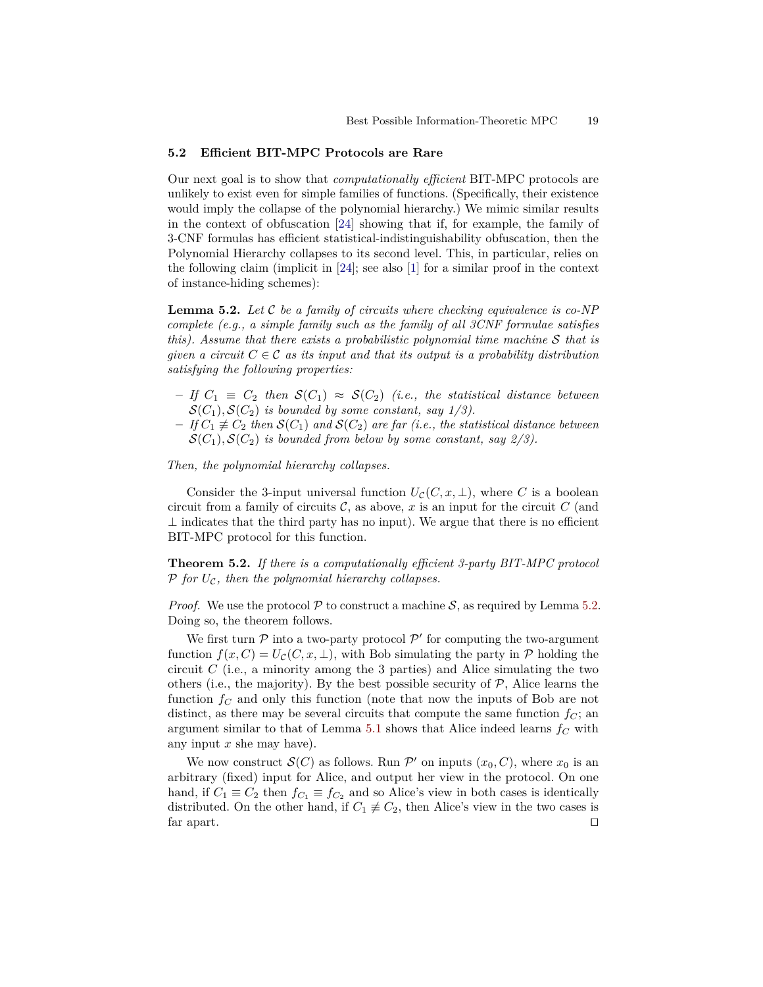#### <span id="page-18-1"></span>**5.2 Efficient BIT-MPC Protocols are Rare**

Our next goal is to show that *computationally efficient* BIT-MPC protocols are unlikely to exist even for simple families of functions. (Specifically, their existence would imply the collapse of the polynomial hierarchy.) We mimic similar results in the context of obfuscation [\[24\]](#page-26-6) showing that if, for example, the family of 3-CNF formulas has efficient statistical-indistinguishability obfuscation, then the Polynomial Hierarchy collapses to its second level. This, in particular, relies on the following claim (implicit in [\[24\]](#page-26-6); see also [\[1\]](#page-24-0) for a similar proof in the context of instance-hiding schemes):

<span id="page-18-0"></span>**Lemma 5.2.** *Let* C *be a family of circuits where checking equivalence is co-NP complete (e.g., a simple family such as the family of all 3CNF formulae satisfies this). Assume that there exists a probabilistic polynomial time machine* S *that is given a circuit*  $C \in \mathcal{C}$  *as its input and that its output is a probability distribution satisfying the following properties:*

- **–** *If C*<sup>1</sup> ≡ *C*<sup>2</sup> *then* S(*C*1) ≈ S(*C*2) *(i.e., the statistical distance between*  $\mathcal{S}(C_1), \mathcal{S}(C_2)$  *is bounded by some constant, say 1/3).*
- $−$  *If*  $C_1$   $\not\equiv C_2$  *then*  $\mathcal{S}(C_1)$  *and*  $\mathcal{S}(C_2)$  *are far (i.e., the statistical distance between*  $\mathcal{S}(C_1), \mathcal{S}(C_2)$  *is bounded from below by some constant, say 2/3).*

*Then, the polynomial hierarchy collapses.*

Consider the 3-input universal function  $U_c(C, x, \perp)$ , where *C* is a boolean circuit from a family of circuits  $\mathcal{C}$ , as above,  $x$  is an input for the circuit  $C$  (and  $\perp$  indicates that the third party has no input). We argue that there is no efficient BIT-MPC protocol for this function.

**Theorem 5.2.** *If there is a computationally efficient 3-party BIT-MPC protocol*  $P$  *for*  $U_c$ *, then the polynomial hierarchy collapses.* 

*Proof.* We use the protocol  $P$  to construct a machine  $S$ , as required by Lemma [5.2.](#page-18-0) Doing so, the theorem follows.

We first turn  $P$  into a two-party protocol  $P'$  for computing the two-argument function  $f(x, C) = U_c(C, x, \perp)$ , with Bob simulating the party in P holding the circuit  $C$  (i.e., a minority among the 3 parties) and Alice simulating the two others (i.e., the majority). By the best possible security of  $P$ , Alice learns the function *f<sup>C</sup>* and only this function (note that now the inputs of Bob are not distinct, as there may be several circuits that compute the same function  $f_C$ ; an argument similar to that of Lemma [5.1](#page-16-0) shows that Alice indeed learns *f<sup>C</sup>* with any input *x* she may have).

We now construct  $\mathcal{S}(C)$  as follows. Run  $\mathcal{P}'$  on inputs  $(x_0, C)$ , where  $x_0$  is an arbitrary (fixed) input for Alice, and output her view in the protocol. On one hand, if  $C_1 \equiv C_2$  then  $f_{C_1} \equiv f_{C_2}$  and so Alice's view in both cases is identically distributed. On the other hand, if  $C_1 \neq C_2$ , then Alice's view in the two cases is far apart.  $\square$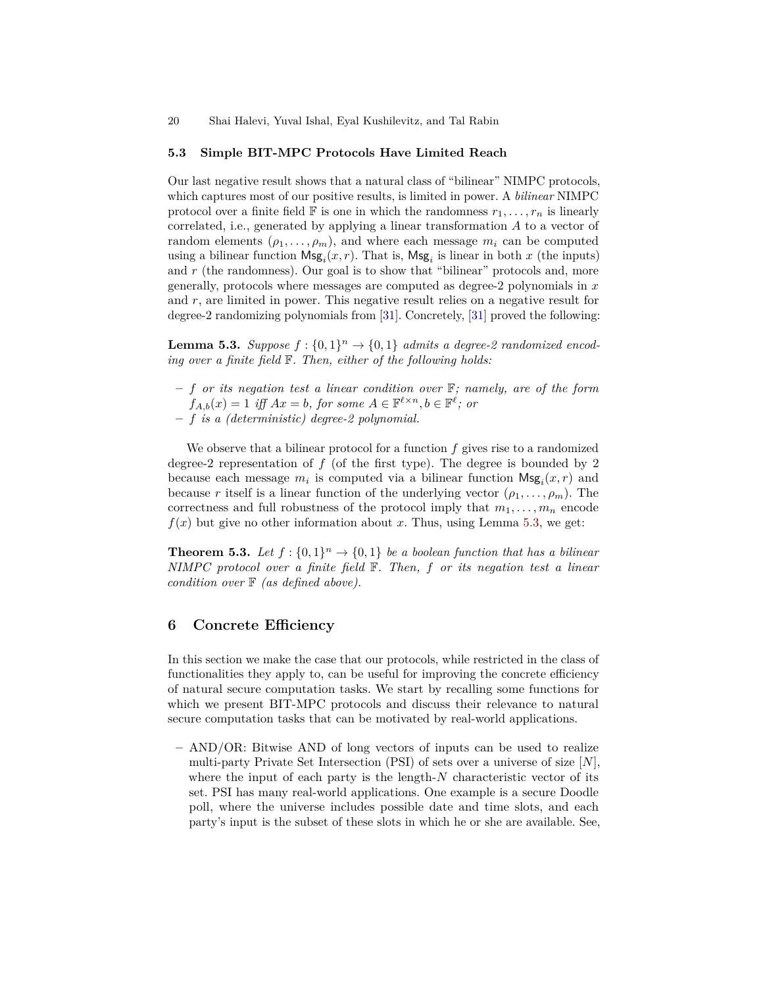#### <span id="page-19-2"></span>**5.3 Simple BIT-MPC Protocols Have Limited Reach**

Our last negative result shows that a natural class of "bilinear" NIMPC protocols, which captures most of our positive results, is limited in power. A *bilinear* NIMPC protocol over a finite field  $\mathbb F$  is one in which the randomness  $r_1, \ldots, r_n$  is linearly correlated, i.e., generated by applying a linear transformation *A* to a vector of random elements  $(\rho_1, \ldots, \rho_m)$ , and where each message  $m_i$  can be computed using a bilinear function  $\mathsf{Msg}_i(x, r)$ . That is,  $\mathsf{Msg}_i$  is linear in both x (the inputs) and r (the randomness). Our goal is to show that "bilinear" protocols and, more generally, protocols where messages are computed as degree-2 polynomials in *x* and *r*, are limited in power. This negative result relies on a negative result for degree-2 randomizing polynomials from [\[31\]](#page-26-7). Concretely, [\[31\]](#page-26-7) proved the following:

<span id="page-19-1"></span>**Lemma 5.3.** *Suppose*  $f: \{0, 1\}^n \to \{0, 1\}$  *admits a degree-2 randomized encoding over a finite field* F*. Then, either of the following holds:*

- **–** *f or its negation test a linear condition over* F*; namely, are of the form*  $f_{A,b}(x) = 1$  *iff*  $Ax = b$ *, for some*  $A \in \mathbb{F}^{\ell \times n}$ *,*  $b \in \mathbb{F}^{\ell}$ *; or*
- **–** *f is a (deterministic) degree-2 polynomial.*

We observe that a bilinear protocol for a function *f* gives rise to a randomized degree-2 representation of *f* (of the first type). The degree is bounded by 2 because each message  $m_i$  is computed via a bilinear function  $\mathsf{Msg}_i(x,r)$  and because *r* itself is a linear function of the underlying vector  $(\rho_1, \ldots, \rho_m)$ . The correctness and full robustness of the protocol imply that  $m_1, \ldots, m_n$  encode  $f(x)$  but give no other information about x. Thus, using Lemma [5.3,](#page-19-1) we get:

**Theorem 5.3.** Let  $f : \{0,1\}^n \to \{0,1\}$  be a boolean function that has a bilinear *NIMPC protocol over a finite field* F*. Then, f or its negation test a linear condition over* F *(as defined above).*

# <span id="page-19-0"></span>**6 Concrete Efficiency**

In this section we make the case that our protocols, while restricted in the class of functionalities they apply to, can be useful for improving the concrete efficiency of natural secure computation tasks. We start by recalling some functions for which we present BIT-MPC protocols and discuss their relevance to natural secure computation tasks that can be motivated by real-world applications.

**–** AND/OR: Bitwise AND of long vectors of inputs can be used to realize multi-party Private Set Intersection (PSI) of sets over a universe of size [*N*], where the input of each party is the length-*N* characteristic vector of its set. PSI has many real-world applications. One example is a secure Doodle poll, where the universe includes possible date and time slots, and each party's input is the subset of these slots in which he or she are available. See,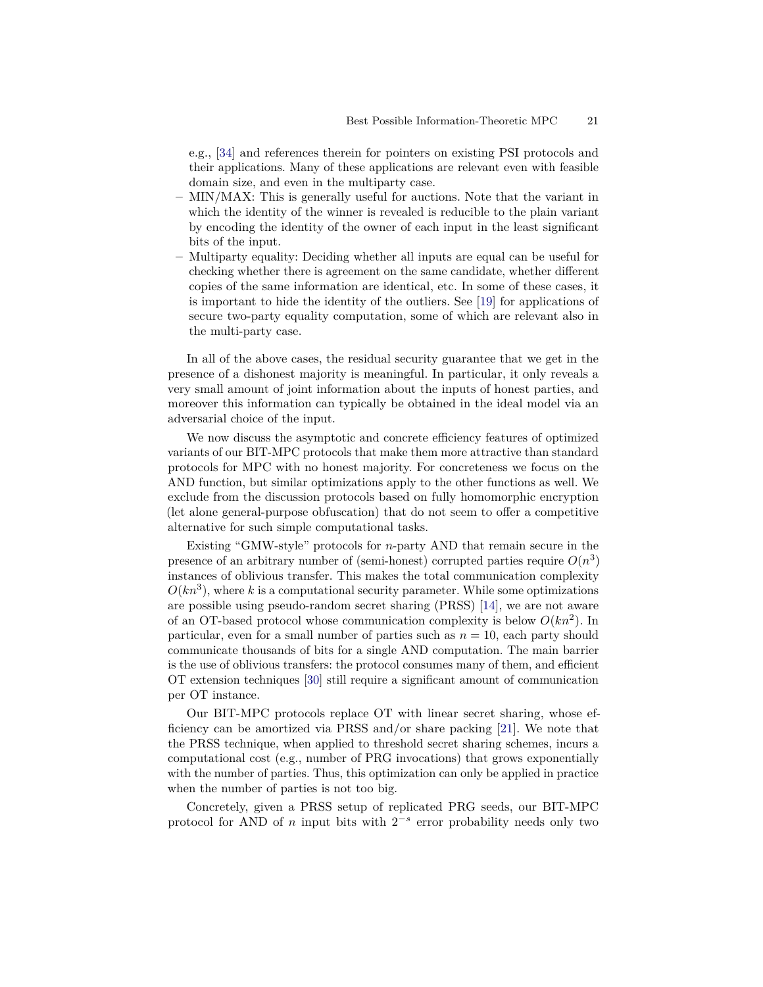<span id="page-20-0"></span>e.g., [\[34\]](#page-27-1) and references therein for pointers on existing PSI protocols and their applications. Many of these applications are relevant even with feasible domain size, and even in the multiparty case.

- **–** MIN/MAX: This is generally useful for auctions. Note that the variant in which the identity of the winner is revealed is reducible to the plain variant by encoding the identity of the owner of each input in the least significant bits of the input.
- **–** Multiparty equality: Deciding whether all inputs are equal can be useful for checking whether there is agreement on the same candidate, whether different copies of the same information are identical, etc. In some of these cases, it is important to hide the identity of the outliers. See [\[19\]](#page-26-13) for applications of secure two-party equality computation, some of which are relevant also in the multi-party case.

In all of the above cases, the residual security guarantee that we get in the presence of a dishonest majority is meaningful. In particular, it only reveals a very small amount of joint information about the inputs of honest parties, and moreover this information can typically be obtained in the ideal model via an adversarial choice of the input.

We now discuss the asymptotic and concrete efficiency features of optimized variants of our BIT-MPC protocols that make them more attractive than standard protocols for MPC with no honest majority. For concreteness we focus on the AND function, but similar optimizations apply to the other functions as well. We exclude from the discussion protocols based on fully homomorphic encryption (let alone general-purpose obfuscation) that do not seem to offer a competitive alternative for such simple computational tasks.

Existing "GMW-style" protocols for *n*-party AND that remain secure in the presence of an arbitrary number of (semi-honest) corrupted parties require  $O(n^3)$ instances of oblivious transfer. This makes the total communication complexity  $O(kn^3)$ , where  $k$  is a computational security parameter. While some optimizations are possible using pseudo-random secret sharing (PRSS) [\[14\]](#page-25-5), we are not aware of an OT-based protocol whose communication complexity is below *O*(*kn*<sup>2</sup> ). In particular, even for a small number of parties such as  $n = 10$ , each party should communicate thousands of bits for a single AND computation. The main barrier is the use of oblivious transfers: the protocol consumes many of them, and efficient OT extension techniques [\[30\]](#page-26-14) still require a significant amount of communication per OT instance.

Our BIT-MPC protocols replace OT with linear secret sharing, whose efficiency can be amortized via PRSS and/or share packing [\[21\]](#page-26-1). We note that the PRSS technique, when applied to threshold secret sharing schemes, incurs a computational cost (e.g., number of PRG invocations) that grows exponentially with the number of parties. Thus, this optimization can only be applied in practice when the number of parties is not too big.

Concretely, given a PRSS setup of replicated PRG seeds, our BIT-MPC protocol for AND of *n* input bits with  $2^{-s}$  error probability needs only two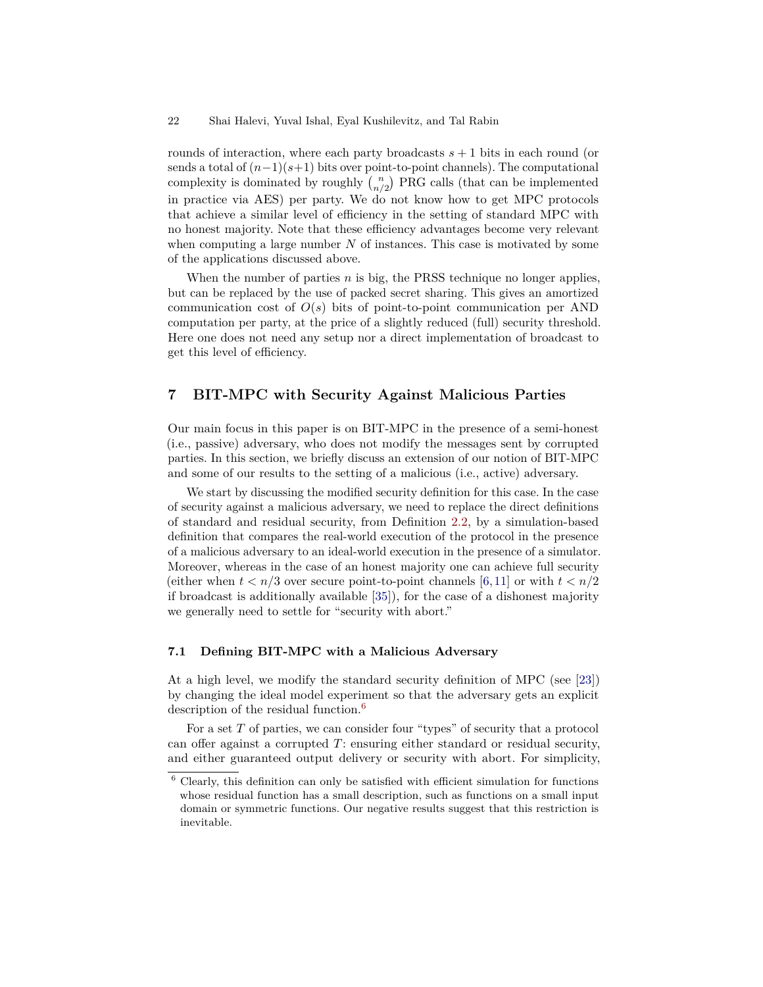<span id="page-21-2"></span>rounds of interaction, where each party broadcasts *s* + 1 bits in each round (or sends a total of  $(n-1)(s+1)$  bits over point-to-point channels). The computational complexity is dominated by roughly  $\binom{n}{n/2}$  PRG calls (that can be implemented in practice via AES) per party. We do not know how to get MPC protocols that achieve a similar level of efficiency in the setting of standard MPC with no honest majority. Note that these efficiency advantages become very relevant when computing a large number *N* of instances. This case is motivated by some of the applications discussed above.

When the number of parties *n* is big, the PRSS technique no longer applies, but can be replaced by the use of packed secret sharing. This gives an amortized communication cost of  $O(s)$  bits of point-to-point communication per AND computation per party, at the price of a slightly reduced (full) security threshold. Here one does not need any setup nor a direct implementation of broadcast to get this level of efficiency.

## <span id="page-21-0"></span>**7 BIT-MPC with Security Against Malicious Parties**

Our main focus in this paper is on BIT-MPC in the presence of a semi-honest (i.e., passive) adversary, who does not modify the messages sent by corrupted parties. In this section, we briefly discuss an extension of our notion of BIT-MPC and some of our results to the setting of a malicious (i.e., active) adversary.

We start by discussing the modified security definition for this case. In the case of security against a malicious adversary, we need to replace the direct definitions of standard and residual security, from Definition [2.2,](#page-5-0) by a simulation-based definition that compares the real-world execution of the protocol in the presence of a malicious adversary to an ideal-world execution in the presence of a simulator. Moreover, whereas in the case of an honest majority one can achieve full security (either when  $t < n/3$  over secure point-to-point channels [\[6,](#page-25-1)[11\]](#page-25-2) or with  $t < n/2$ if broadcast is additionally available [\[35\]](#page-27-0)), for the case of a dishonest majority we generally need to settle for "security with abort."

### **7.1 Defining BIT-MPC with a Malicious Adversary**

At a high level, we modify the standard security definition of MPC (see [\[23\]](#page-26-15)) by changing the ideal model experiment so that the adversary gets an explicit description of the residual function.<sup>[6](#page-21-1)</sup>

For a set *T* of parties, we can consider four "types" of security that a protocol can offer against a corrupted *T*: ensuring either standard or residual security, and either guaranteed output delivery or security with abort. For simplicity,

<span id="page-21-1"></span> $6$  Clearly, this definition can only be satisfied with efficient simulation for functions whose residual function has a small description, such as functions on a small input domain or symmetric functions. Our negative results suggest that this restriction is inevitable.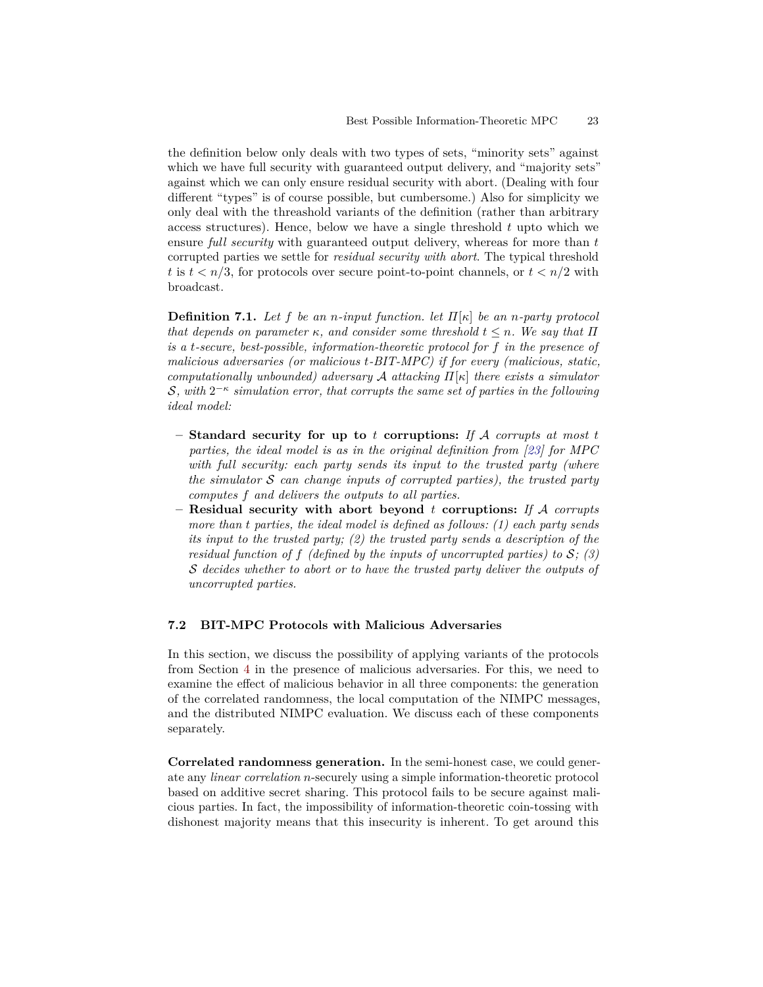<span id="page-22-0"></span>the definition below only deals with two types of sets, "minority sets" against which we have full security with guaranteed output delivery, and "majority sets" against which we can only ensure residual security with abort. (Dealing with four different "types" is of course possible, but cumbersome.) Also for simplicity we only deal with the threashold variants of the definition (rather than arbitrary access structures). Hence, below we have a single threshold *t* upto which we ensure *full security* with guaranteed output delivery, whereas for more than *t* corrupted parties we settle for *residual security with abort*. The typical threshold *t* is  $t < n/3$ , for protocols over secure point-to-point channels, or  $t < n/2$  with broadcast.

**Definition 7.1.** Let f be an *n*-input function. let  $\Pi[\kappa]$  be an *n*-party protocol *that depends on parameter*  $\kappa$ *, and consider some threshold*  $t \leq n$ *. We say that*  $\Pi$ *is a t-secure, best-possible, information-theoretic protocol for f in the presence of malicious adversaries (or malicious t-BIT-MPC) if for every (malicious, static, computationally unbounded) adversary* A *attacking Π*[*κ*] *there exists a simulator*  $\mathcal{S}, \text{ with } 2^{-\kappa} \text{ simulation error, that corrupts the same set of parties in the following.}$ *ideal model:*

- **– Standard security for up to** *t* **corruptions:** *If* A *corrupts at most t parties, the ideal model is as in the original definition from [\[23\]](#page-26-15) for MPC with full security: each party sends its input to the trusted party (where the simulator* S *can change inputs of corrupted parties), the trusted party computes f and delivers the outputs to all parties.*
- **– Residual security with abort beyond** *t* **corruptions:** *If* A *corrupts more than t parties, the ideal model is defined as follows: (1) each party sends its input to the trusted party; (2) the trusted party sends a description of the residual function of f (defined by the inputs of uncorrupted parties) to* S*; (3)* S *decides whether to abort or to have the trusted party deliver the outputs of uncorrupted parties.*

#### **7.2 BIT-MPC Protocols with Malicious Adversaries**

In this section, we discuss the possibility of applying variants of the protocols from Section [4](#page-7-0) in the presence of malicious adversaries. For this, we need to examine the effect of malicious behavior in all three components: the generation of the correlated randomness, the local computation of the NIMPC messages, and the distributed NIMPC evaluation. We discuss each of these components separately.

**Correlated randomness generation.** In the semi-honest case, we could generate any *linear correlation n*-securely using a simple information-theoretic protocol based on additive secret sharing. This protocol fails to be secure against malicious parties. In fact, the impossibility of information-theoretic coin-tossing with dishonest majority means that this insecurity is inherent. To get around this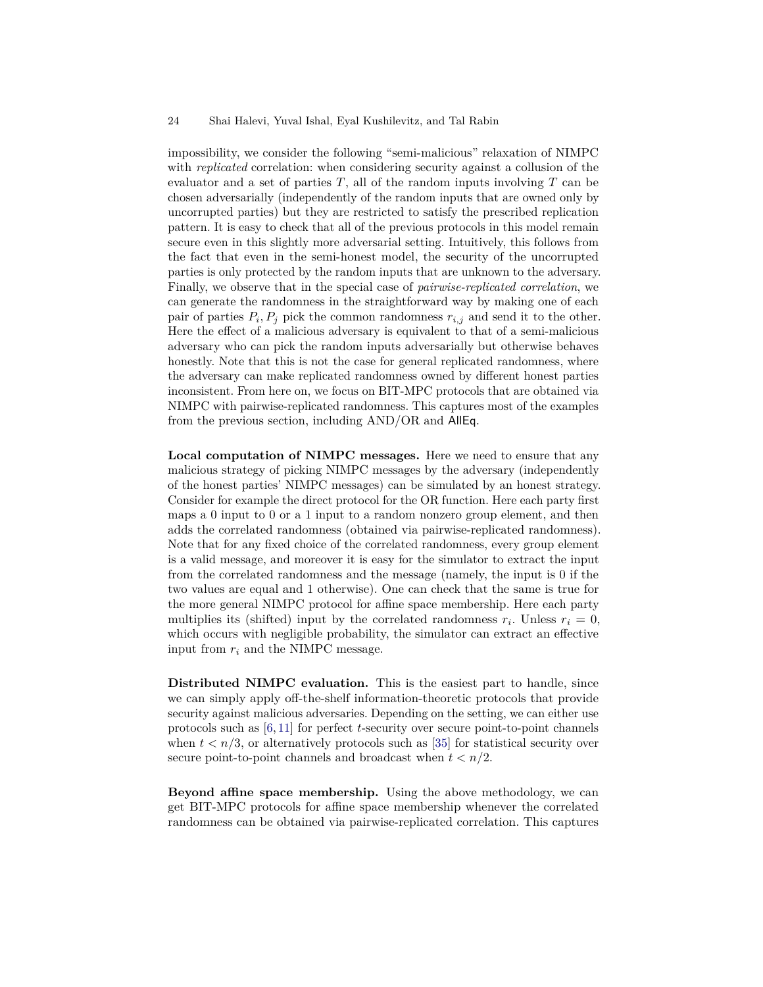<span id="page-23-0"></span>impossibility, we consider the following "semi-malicious" relaxation of NIMPC with *replicated* correlation: when considering security against a collusion of the evaluator and a set of parties *T*, all of the random inputs involving *T* can be chosen adversarially (independently of the random inputs that are owned only by uncorrupted parties) but they are restricted to satisfy the prescribed replication pattern. It is easy to check that all of the previous protocols in this model remain secure even in this slightly more adversarial setting. Intuitively, this follows from the fact that even in the semi-honest model, the security of the uncorrupted parties is only protected by the random inputs that are unknown to the adversary. Finally, we observe that in the special case of *pairwise-replicated correlation*, we can generate the randomness in the straightforward way by making one of each pair of parties  $P_i$ ,  $P_j$  pick the common randomness  $r_{i,j}$  and send it to the other. Here the effect of a malicious adversary is equivalent to that of a semi-malicious adversary who can pick the random inputs adversarially but otherwise behaves honestly. Note that this is not the case for general replicated randomness, where the adversary can make replicated randomness owned by different honest parties inconsistent. From here on, we focus on BIT-MPC protocols that are obtained via NIMPC with pairwise-replicated randomness. This captures most of the examples from the previous section, including AND/OR and AllEq.

**Local computation of NIMPC messages.** Here we need to ensure that any malicious strategy of picking NIMPC messages by the adversary (independently of the honest parties' NIMPC messages) can be simulated by an honest strategy. Consider for example the direct protocol for the OR function. Here each party first maps a 0 input to 0 or a 1 input to a random nonzero group element, and then adds the correlated randomness (obtained via pairwise-replicated randomness). Note that for any fixed choice of the correlated randomness, every group element is a valid message, and moreover it is easy for the simulator to extract the input from the correlated randomness and the message (namely, the input is 0 if the two values are equal and 1 otherwise). One can check that the same is true for the more general NIMPC protocol for affine space membership. Here each party multiplies its (shifted) input by the correlated randomness  $r_i$ . Unless  $r_i = 0$ , which occurs with negligible probability, the simulator can extract an effective input from *r<sup>i</sup>* and the NIMPC message.

**Distributed NIMPC evaluation.** This is the easiest part to handle, since we can simply apply off-the-shelf information-theoretic protocols that provide security against malicious adversaries. Depending on the setting, we can either use protocols such as [\[6,](#page-25-1) [11\]](#page-25-2) for perfect *t*-security over secure point-to-point channels when  $t < n/3$ , or alternatively protocols such as [\[35\]](#page-27-0) for statistical security over secure point-to-point channels and broadcast when  $t < n/2$ .

**Beyond affine space membership.** Using the above methodology, we can get BIT-MPC protocols for affine space membership whenever the correlated randomness can be obtained via pairwise-replicated correlation. This captures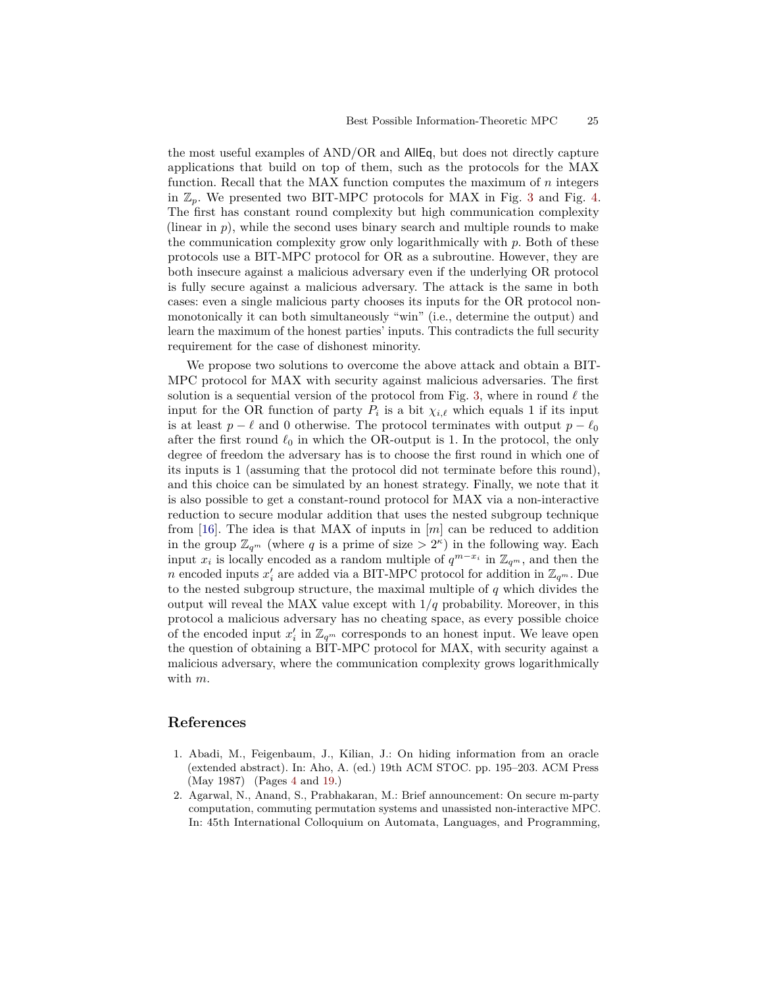<span id="page-24-2"></span>the most useful examples of AND/OR and AllEq, but does not directly capture applications that build on top of them, such as the protocols for the MAX function. Recall that the MAX function computes the maximum of *n* integers in  $\mathbb{Z}_p$ . We presented two BIT-MPC protocols for MAX in Fig. [3](#page-12-0) and Fig. [4.](#page-12-1) The first has constant round complexity but high communication complexity (linear in  $p$ ), while the second uses binary search and multiple rounds to make the communication complexity grow only logarithmically with *p*. Both of these protocols use a BIT-MPC protocol for OR as a subroutine. However, they are both insecure against a malicious adversary even if the underlying OR protocol is fully secure against a malicious adversary. The attack is the same in both cases: even a single malicious party chooses its inputs for the OR protocol nonmonotonically it can both simultaneously "win" (i.e., determine the output) and learn the maximum of the honest parties' inputs. This contradicts the full security requirement for the case of dishonest minority.

We propose two solutions to overcome the above attack and obtain a BIT-MPC protocol for MAX with security against malicious adversaries. The first solution is a sequential version of the protocol from Fig. [3,](#page-12-0) where in round  $\ell$  the input for the OR function of party  $P_i$  is a bit  $\chi_{i,\ell}$  which equals 1 if its input is at least  $p - \ell$  and 0 otherwise. The protocol terminates with output  $p - \ell_0$ after the first round  $\ell_0$  in which the OR-output is 1. In the protocol, the only degree of freedom the adversary has is to choose the first round in which one of its inputs is 1 (assuming that the protocol did not terminate before this round), and this choice can be simulated by an honest strategy. Finally, we note that it is also possible to get a constant-round protocol for MAX via a non-interactive reduction to secure modular addition that uses the nested subgroup technique from [\[16\]](#page-25-14). The idea is that MAX of inputs in [*m*] can be reduced to addition in the group  $\mathbb{Z}_{q^m}$  (where *q* is a prime of size  $> 2^{\kappa}$ ) in the following way. Each input  $x_i$  is locally encoded as a random multiple of  $q^{m-x_i}$  in  $\mathbb{Z}_{q^m}$ , and then the *n* encoded inputs  $x_i'$  are added via a BIT-MPC protocol for addition in  $\mathbb{Z}_{q^m}$ . Due to the nested subgroup structure, the maximal multiple of *q* which divides the output will reveal the MAX value except with 1*/q* probability. Moreover, in this protocol a malicious adversary has no cheating space, as every possible choice of the encoded input  $x_i'$  in  $\mathbb{Z}_{q^m}$  corresponds to an honest input. We leave open the question of obtaining a BIT-MPC protocol for MAX, with security against a malicious adversary, where the communication complexity grows logarithmically with *m*.

### **References**

- <span id="page-24-0"></span>1. Abadi, M., Feigenbaum, J., Kilian, J.: On hiding information from an oracle (extended abstract). In: Aho, A. (ed.) 19th ACM STOC. pp. 195–203. ACM Press (May 1987) (Pages [4](#page-3-0) and [19.](#page-18-1))
- <span id="page-24-1"></span>2. Agarwal, N., Anand, S., Prabhakaran, M.: Brief announcement: On secure m-party computation, commuting permutation systems and unassisted non-interactive MPC. In: 45th International Colloquium on Automata, Languages, and Programming,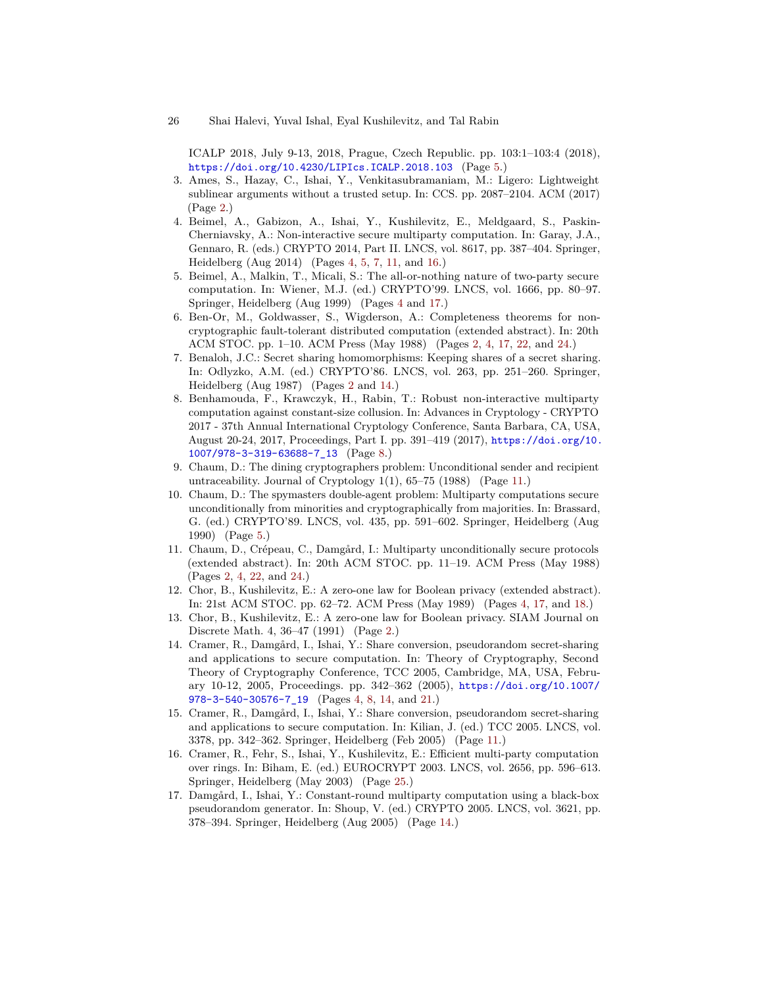ICALP 2018, July 9-13, 2018, Prague, Czech Republic. pp. 103:1–103:4 (2018), <https://doi.org/10.4230/LIPIcs.ICALP.2018.103> (Page [5.](#page-4-1))

- <span id="page-25-0"></span>3. Ames, S., Hazay, C., Ishai, Y., Venkitasubramaniam, M.: Ligero: Lightweight sublinear arguments without a trusted setup. In: CCS. pp. 2087–2104. ACM (2017)  $(Pase 2.)$  $(Pase 2.)$  $(Pase 2.)$
- <span id="page-25-6"></span>4. Beimel, A., Gabizon, A., Ishai, Y., Kushilevitz, E., Meldgaard, S., Paskin-Cherniavsky, A.: Non-interactive secure multiparty computation. In: Garay, J.A., Gennaro, R. (eds.) CRYPTO 2014, Part II. LNCS, vol. 8617, pp. 387–404. Springer, Heidelberg (Aug 2014) (Pages [4,](#page-3-0) [5,](#page-4-1) [7,](#page-6-2) [11,](#page-10-1) and [16.](#page-15-1))
- <span id="page-25-7"></span>5. Beimel, A., Malkin, T., Micali, S.: The all-or-nothing nature of two-party secure computation. In: Wiener, M.J. (ed.) CRYPTO'99. LNCS, vol. 1666, pp. 80–97. Springer, Heidelberg (Aug 1999) (Pages [4](#page-3-0) and [17.](#page-16-1))
- <span id="page-25-1"></span>6. Ben-Or, M., Goldwasser, S., Wigderson, A.: Completeness theorems for noncryptographic fault-tolerant distributed computation (extended abstract). In: 20th ACM STOC. pp. 1–10. ACM Press (May 1988) (Pages [2,](#page-1-0) [4,](#page-3-0) [17,](#page-16-1) [22,](#page-21-2) and [24.](#page-23-0))
- <span id="page-25-4"></span>7. Benaloh, J.C.: Secret sharing homomorphisms: Keeping shares of a secret sharing. In: Odlyzko, A.M. (ed.) CRYPTO'86. LNCS, vol. 263, pp. 251–260. Springer, Heidelberg (Aug 1987) (Pages [2](#page-1-0) and [14.](#page-13-0))
- <span id="page-25-10"></span>8. Benhamouda, F., Krawczyk, H., Rabin, T.: Robust non-interactive multiparty computation against constant-size collusion. In: Advances in Cryptology - CRYPTO 2017 - 37th Annual International Cryptology Conference, Santa Barbara, CA, USA, August 20-24, 2017, Proceedings, Part I. pp. 391–419 (2017), [https://doi.org/10.](https://doi.org/10.1007/978-3-319-63688-7_13) [1007/978-3-319-63688-7\\_13](https://doi.org/10.1007/978-3-319-63688-7_13) (Page [8.](#page-7-1))
- <span id="page-25-11"></span>9. Chaum, D.: The dining cryptographers problem: Unconditional sender and recipient untraceability. Journal of Cryptology  $1(1)$ ,  $65-75$   $(1988)$   $(Page 11.)$  $(Page 11.)$  $(Page 11.)$
- <span id="page-25-9"></span>10. Chaum, D.: The spymasters double-agent problem: Multiparty computations secure unconditionally from minorities and cryptographically from majorities. In: Brassard, G. (ed.) CRYPTO'89. LNCS, vol. 435, pp. 591–602. Springer, Heidelberg (Aug 1990) (Page [5.](#page-4-1))
- <span id="page-25-2"></span>11. Chaum, D., Crépeau, C., Damgård, I.: Multiparty unconditionally secure protocols (extended abstract). In: 20th ACM STOC. pp. 11–19. ACM Press (May 1988) (Pages [2,](#page-1-0) [4,](#page-3-0) [22,](#page-21-2) and [24.](#page-23-0))
- <span id="page-25-8"></span>12. Chor, B., Kushilevitz, E.: A zero-one law for Boolean privacy (extended abstract). In: 21st ACM STOC. pp. 62–72. ACM Press (May 1989) (Pages [4,](#page-3-0) [17,](#page-16-1) and [18.](#page-17-0))
- <span id="page-25-3"></span>13. Chor, B., Kushilevitz, E.: A zero-one law for Boolean privacy. SIAM Journal on Discrete Math. 4, 36–47 (1991) (Page [2.](#page-1-0))
- <span id="page-25-5"></span>14. Cramer, R., Damgård, I., Ishai, Y.: Share conversion, pseudorandom secret-sharing and applications to secure computation. In: Theory of Cryptography, Second Theory of Cryptography Conference, TCC 2005, Cambridge, MA, USA, February 10-12, 2005, Proceedings. pp. 342–362 (2005), [https://doi.org/10.1007/](https://doi.org/10.1007/978-3-540-30576-7_19) [978-3-540-30576-7\\_19](https://doi.org/10.1007/978-3-540-30576-7_19) (Pages [4,](#page-3-0) [8,](#page-7-1) [14,](#page-13-0) and [21.](#page-20-0))
- <span id="page-25-12"></span>15. Cramer, R., Damgård, I., Ishai, Y.: Share conversion, pseudorandom secret-sharing and applications to secure computation. In: Kilian, J. (ed.) TCC 2005. LNCS, vol. 3378, pp. 342–362. Springer, Heidelberg (Feb 2005) (Page [11.](#page-10-1))
- <span id="page-25-14"></span>16. Cramer, R., Fehr, S., Ishai, Y., Kushilevitz, E.: Efficient multi-party computation over rings. In: Biham, E. (ed.) EUROCRYPT 2003. LNCS, vol. 2656, pp. 596–613. Springer, Heidelberg (May 2003) (Page [25.](#page-24-2))
- <span id="page-25-13"></span>17. Damgård, I., Ishai, Y.: Constant-round multiparty computation using a black-box pseudorandom generator. In: Shoup, V. (ed.) CRYPTO 2005. LNCS, vol. 3621, pp. 378–394. Springer, Heidelberg (Aug 2005) (Page [14.](#page-13-0))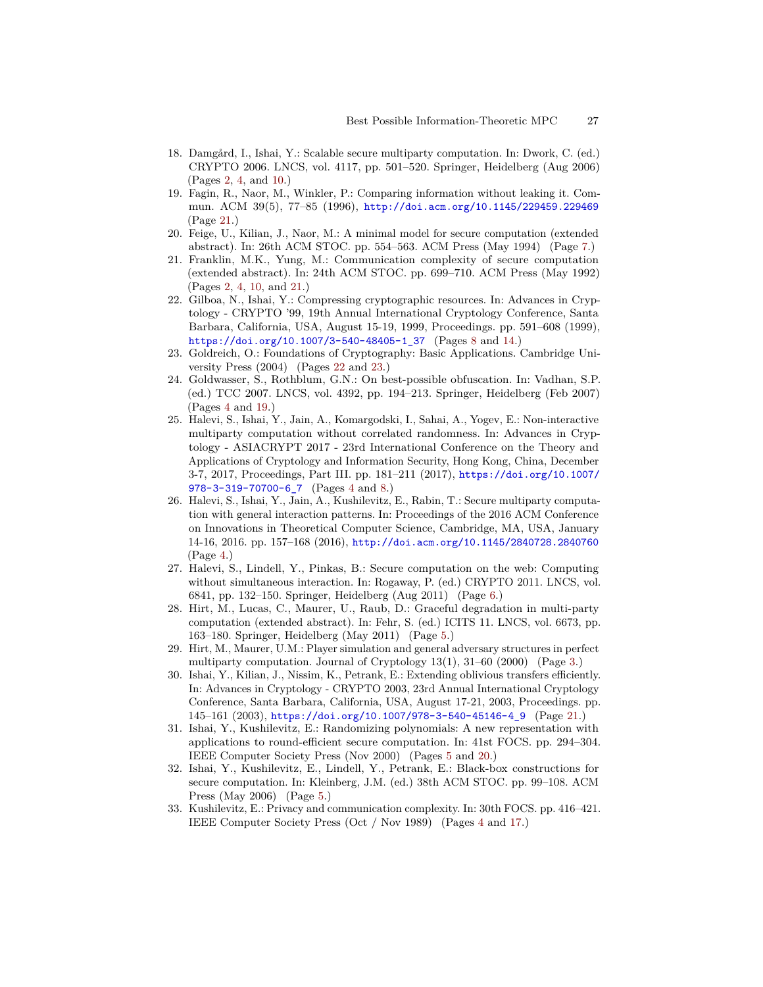- <span id="page-26-0"></span>18. Damgård, I., Ishai, Y.: Scalable secure multiparty computation. In: Dwork, C. (ed.) CRYPTO 2006. LNCS, vol. 4117, pp. 501–520. Springer, Heidelberg (Aug 2006) (Pages [2,](#page-1-0) [4,](#page-3-0) and [10.](#page-9-2))
- <span id="page-26-13"></span>19. Fagin, R., Naor, M., Winkler, P.: Comparing information without leaking it. Commun. ACM 39(5), 77–85 (1996), <http://doi.acm.org/10.1145/229459.229469> (Page [21.](#page-20-0))
- <span id="page-26-11"></span>20. Feige, U., Kilian, J., Naor, M.: A minimal model for secure computation (extended abstract). In: 26th ACM STOC. pp. 554–563. ACM Press (May 1994) (Page [7.](#page-6-2))
- <span id="page-26-1"></span>21. Franklin, M.K., Yung, M.: Communication complexity of secure computation (extended abstract). In: 24th ACM STOC. pp. 699–710. ACM Press (May 1992) (Pages [2,](#page-1-0) [4,](#page-3-0) [10,](#page-9-2) and [21.](#page-20-0))
- <span id="page-26-12"></span>22. Gilboa, N., Ishai, Y.: Compressing cryptographic resources. In: Advances in Cryptology - CRYPTO '99, 19th Annual International Cryptology Conference, Santa Barbara, California, USA, August 15-19, 1999, Proceedings. pp. 591–608 (1999), [https://doi.org/10.1007/3-540-48405-1\\_37](https://doi.org/10.1007/3-540-48405-1_37) (Pages [8](#page-7-1) and [14.](#page-13-0))
- <span id="page-26-15"></span>23. Goldreich, O.: Foundations of Cryptography: Basic Applications. Cambridge University Press (2004) (Pages [22](#page-21-2) and [23.](#page-22-0))
- <span id="page-26-6"></span>24. Goldwasser, S., Rothblum, G.N.: On best-possible obfuscation. In: Vadhan, S.P. (ed.) TCC 2007. LNCS, vol. 4392, pp. 194–213. Springer, Heidelberg (Feb 2007) (Pages [4](#page-3-0) and [19.](#page-18-1))
- <span id="page-26-4"></span>25. Halevi, S., Ishai, Y., Jain, A., Komargodski, I., Sahai, A., Yogev, E.: Non-interactive multiparty computation without correlated randomness. In: Advances in Cryptology - ASIACRYPT 2017 - 23rd International Conference on the Theory and Applications of Cryptology and Information Security, Hong Kong, China, December 3-7, 2017, Proceedings, Part III. pp. 181–211 (2017), [https://doi.org/10.1007/](https://doi.org/10.1007/978-3-319-70700-6_7) [978-3-319-70700-6\\_7](https://doi.org/10.1007/978-3-319-70700-6_7) (Pages [4](#page-3-0) and [8.](#page-7-1))
- <span id="page-26-3"></span>26. Halevi, S., Ishai, Y., Jain, A., Kushilevitz, E., Rabin, T.: Secure multiparty computation with general interaction patterns. In: Proceedings of the 2016 ACM Conference on Innovations in Theoretical Computer Science, Cambridge, MA, USA, January 14-16, 2016. pp. 157–168 (2016), <http://doi.acm.org/10.1145/2840728.2840760>  $(Page 4)$
- <span id="page-26-10"></span>27. Halevi, S., Lindell, Y., Pinkas, B.: Secure computation on the web: Computing without simultaneous interaction. In: Rogaway, P. (ed.) CRYPTO 2011. LNCS, vol. 6841, pp. 132–150. Springer, Heidelberg (Aug 2011) (Page [6.](#page-5-1))
- <span id="page-26-9"></span>28. Hirt, M., Lucas, C., Maurer, U., Raub, D.: Graceful degradation in multi-party computation (extended abstract). In: Fehr, S. (ed.) ICITS 11. LNCS, vol. 6673, pp. 163–180. Springer, Heidelberg (May 2011) (Page [5.](#page-4-1))
- <span id="page-26-2"></span>29. Hirt, M., Maurer, U.M.: Player simulation and general adversary structures in perfect multiparty computation. Journal of Cryptology 13(1), 31–60 (2000) (Page [3.](#page-2-1))
- <span id="page-26-14"></span>30. Ishai, Y., Kilian, J., Nissim, K., Petrank, E.: Extending oblivious transfers efficiently. In: Advances in Cryptology - CRYPTO 2003, 23rd Annual International Cryptology Conference, Santa Barbara, California, USA, August 17-21, 2003, Proceedings. pp. 145–161 (2003), [https://doi.org/10.1007/978-3-540-45146-4\\_9](https://doi.org/10.1007/978-3-540-45146-4_9) (Page [21.](#page-20-0))
- <span id="page-26-7"></span>31. Ishai, Y., Kushilevitz, E.: Randomizing polynomials: A new representation with applications to round-efficient secure computation. In: 41st FOCS. pp. 294–304. IEEE Computer Society Press (Nov 2000) (Pages [5](#page-4-1) and [20.](#page-19-2))
- <span id="page-26-8"></span>32. Ishai, Y., Kushilevitz, E., Lindell, Y., Petrank, E.: Black-box constructions for secure computation. In: Kleinberg, J.M. (ed.) 38th ACM STOC. pp. 99–108. ACM Press (May 2006) (Page [5.](#page-4-1))
- <span id="page-26-5"></span>33. Kushilevitz, E.: Privacy and communication complexity. In: 30th FOCS. pp. 416–421. IEEE Computer Society Press (Oct / Nov 1989) (Pages [4](#page-3-0) and [17.](#page-16-1))